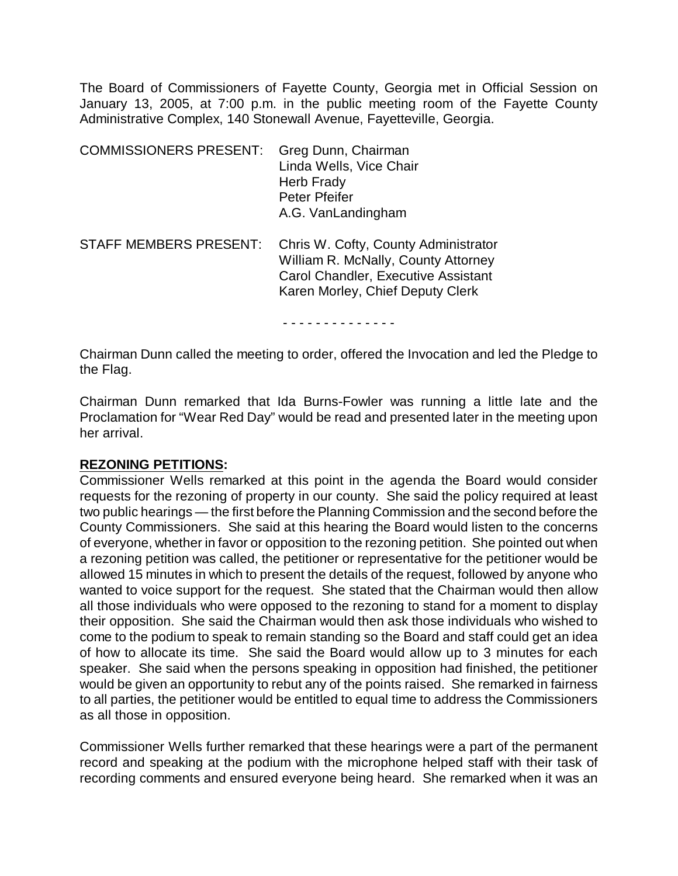The Board of Commissioners of Fayette County, Georgia met in Official Session on January 13, 2005, at 7:00 p.m. in the public meeting room of the Fayette County Administrative Complex, 140 Stonewall Avenue, Fayetteville, Georgia.

| <b>COMMISSIONERS PRESENT:</b> | Greg Dunn, Chairman<br>Linda Wells, Vice Chair<br>Herb Frady<br>Peter Pfeifer<br>A.G. VanLandingham                                                    |
|-------------------------------|--------------------------------------------------------------------------------------------------------------------------------------------------------|
| <b>STAFF MEMBERS PRESENT:</b> | Chris W. Cofty, County Administrator<br>William R. McNally, County Attorney<br>Carol Chandler, Executive Assistant<br>Karen Morley, Chief Deputy Clerk |

- - - - - - - - - - - - - -

Chairman Dunn called the meeting to order, offered the Invocation and led the Pledge to the Flag.

Chairman Dunn remarked that Ida Burns-Fowler was running a little late and the Proclamation for "Wear Red Day" would be read and presented later in the meeting upon her arrival.

#### **REZONING PETITIONS:**

Commissioner Wells remarked at this point in the agenda the Board would consider requests for the rezoning of property in our county. She said the policy required at least two public hearings — the first before the Planning Commission and the second before the County Commissioners. She said at this hearing the Board would listen to the concerns of everyone, whether in favor or opposition to the rezoning petition. She pointed out when a rezoning petition was called, the petitioner or representative for the petitioner would be allowed 15 minutes in which to present the details of the request, followed by anyone who wanted to voice support for the request. She stated that the Chairman would then allow all those individuals who were opposed to the rezoning to stand for a moment to display their opposition. She said the Chairman would then ask those individuals who wished to come to the podium to speak to remain standing so the Board and staff could get an idea of how to allocate its time. She said the Board would allow up to 3 minutes for each speaker. She said when the persons speaking in opposition had finished, the petitioner would be given an opportunity to rebut any of the points raised. She remarked in fairness to all parties, the petitioner would be entitled to equal time to address the Commissioners as all those in opposition.

Commissioner Wells further remarked that these hearings were a part of the permanent record and speaking at the podium with the microphone helped staff with their task of recording comments and ensured everyone being heard. She remarked when it was an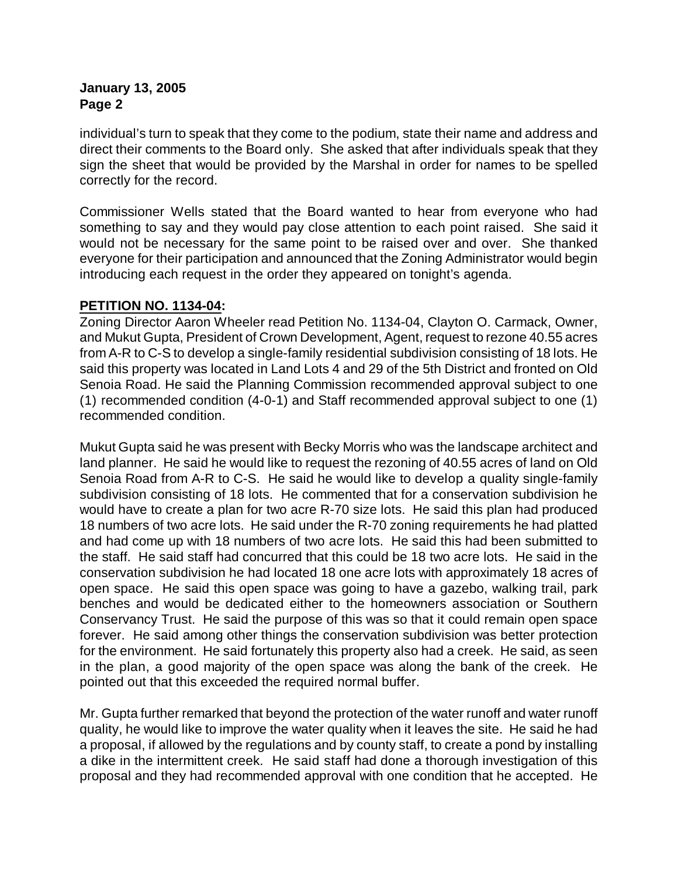individual's turn to speak that they come to the podium, state their name and address and direct their comments to the Board only. She asked that after individuals speak that they sign the sheet that would be provided by the Marshal in order for names to be spelled correctly for the record.

Commissioner Wells stated that the Board wanted to hear from everyone who had something to say and they would pay close attention to each point raised. She said it would not be necessary for the same point to be raised over and over. She thanked everyone for their participation and announced that the Zoning Administrator would begin introducing each request in the order they appeared on tonight's agenda.

# **PETITION NO. 1134-04:**

Zoning Director Aaron Wheeler read Petition No. 1134-04, Clayton O. Carmack, Owner, and Mukut Gupta, President of Crown Development, Agent, request to rezone 40.55 acres from A-R to C-S to develop a single-family residential subdivision consisting of 18 lots. He said this property was located in Land Lots 4 and 29 of the 5th District and fronted on Old Senoia Road. He said the Planning Commission recommended approval subject to one (1) recommended condition (4-0-1) and Staff recommended approval subject to one (1) recommended condition.

Mukut Gupta said he was present with Becky Morris who was the landscape architect and land planner. He said he would like to request the rezoning of 40.55 acres of land on Old Senoia Road from A-R to C-S. He said he would like to develop a quality single-family subdivision consisting of 18 lots. He commented that for a conservation subdivision he would have to create a plan for two acre R-70 size lots. He said this plan had produced 18 numbers of two acre lots. He said under the R-70 zoning requirements he had platted and had come up with 18 numbers of two acre lots. He said this had been submitted to the staff. He said staff had concurred that this could be 18 two acre lots. He said in the conservation subdivision he had located 18 one acre lots with approximately 18 acres of open space. He said this open space was going to have a gazebo, walking trail, park benches and would be dedicated either to the homeowners association or Southern Conservancy Trust. He said the purpose of this was so that it could remain open space forever. He said among other things the conservation subdivision was better protection for the environment. He said fortunately this property also had a creek. He said, as seen in the plan, a good majority of the open space was along the bank of the creek. He pointed out that this exceeded the required normal buffer.

Mr. Gupta further remarked that beyond the protection of the water runoff and water runoff quality, he would like to improve the water quality when it leaves the site. He said he had a proposal, if allowed by the regulations and by county staff, to create a pond by installing a dike in the intermittent creek. He said staff had done a thorough investigation of this proposal and they had recommended approval with one condition that he accepted. He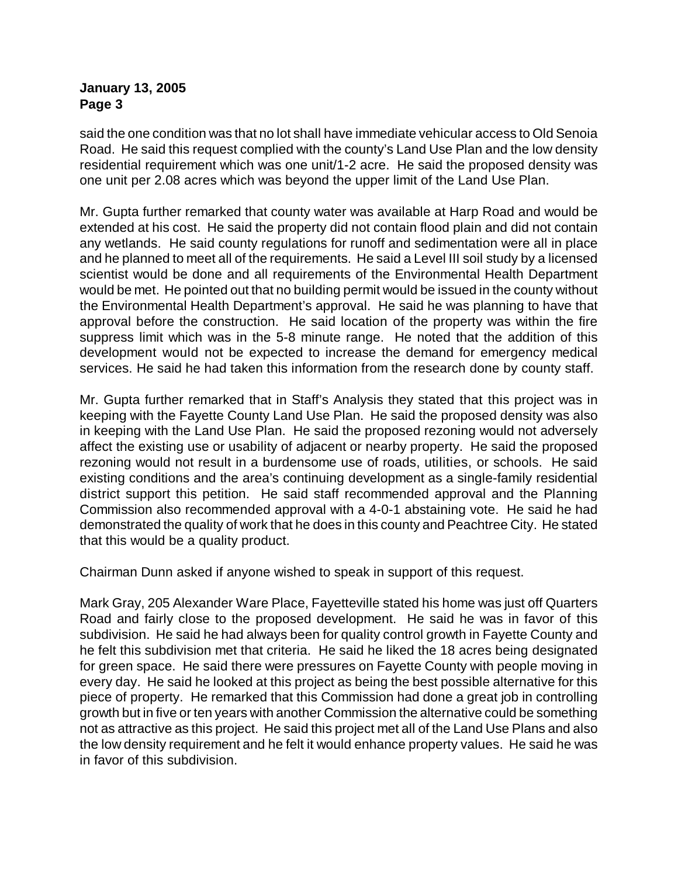said the one condition was that no lot shall have immediate vehicular access to Old Senoia Road. He said this request complied with the county's Land Use Plan and the low density residential requirement which was one unit/1-2 acre. He said the proposed density was one unit per 2.08 acres which was beyond the upper limit of the Land Use Plan.

Mr. Gupta further remarked that county water was available at Harp Road and would be extended at his cost. He said the property did not contain flood plain and did not contain any wetlands. He said county regulations for runoff and sedimentation were all in place and he planned to meet all of the requirements. He said a Level III soil study by a licensed scientist would be done and all requirements of the Environmental Health Department would be met. He pointed out that no building permit would be issued in the county without the Environmental Health Department's approval. He said he was planning to have that approval before the construction. He said location of the property was within the fire suppress limit which was in the 5-8 minute range. He noted that the addition of this development would not be expected to increase the demand for emergency medical services. He said he had taken this information from the research done by county staff.

Mr. Gupta further remarked that in Staff's Analysis they stated that this project was in keeping with the Fayette County Land Use Plan. He said the proposed density was also in keeping with the Land Use Plan. He said the proposed rezoning would not adversely affect the existing use or usability of adjacent or nearby property. He said the proposed rezoning would not result in a burdensome use of roads, utilities, or schools. He said existing conditions and the area's continuing development as a single-family residential district support this petition. He said staff recommended approval and the Planning Commission also recommended approval with a 4-0-1 abstaining vote. He said he had demonstrated the quality of work that he does in this county and Peachtree City. He stated that this would be a quality product.

Chairman Dunn asked if anyone wished to speak in support of this request.

Mark Gray, 205 Alexander Ware Place, Fayetteville stated his home was just off Quarters Road and fairly close to the proposed development. He said he was in favor of this subdivision. He said he had always been for quality control growth in Fayette County and he felt this subdivision met that criteria. He said he liked the 18 acres being designated for green space. He said there were pressures on Fayette County with people moving in every day. He said he looked at this project as being the best possible alternative for this piece of property. He remarked that this Commission had done a great job in controlling growth but in five or ten years with another Commission the alternative could be something not as attractive as this project. He said this project met all of the Land Use Plans and also the low density requirement and he felt it would enhance property values. He said he was in favor of this subdivision.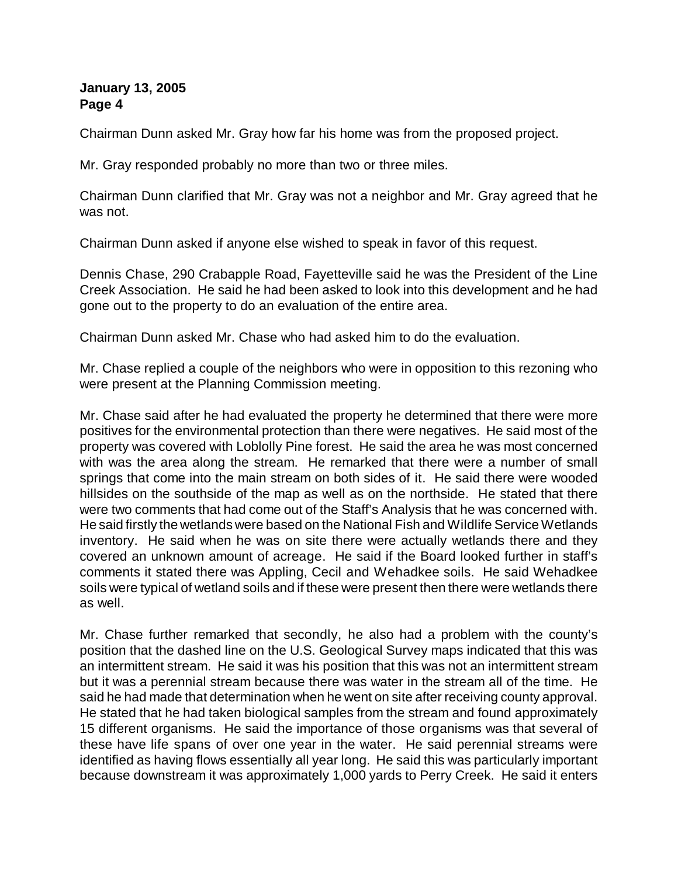Chairman Dunn asked Mr. Gray how far his home was from the proposed project.

Mr. Gray responded probably no more than two or three miles.

Chairman Dunn clarified that Mr. Gray was not a neighbor and Mr. Gray agreed that he was not.

Chairman Dunn asked if anyone else wished to speak in favor of this request.

Dennis Chase, 290 Crabapple Road, Fayetteville said he was the President of the Line Creek Association. He said he had been asked to look into this development and he had gone out to the property to do an evaluation of the entire area.

Chairman Dunn asked Mr. Chase who had asked him to do the evaluation.

Mr. Chase replied a couple of the neighbors who were in opposition to this rezoning who were present at the Planning Commission meeting.

Mr. Chase said after he had evaluated the property he determined that there were more positives for the environmental protection than there were negatives. He said most of the property was covered with Loblolly Pine forest. He said the area he was most concerned with was the area along the stream. He remarked that there were a number of small springs that come into the main stream on both sides of it. He said there were wooded hillsides on the southside of the map as well as on the northside. He stated that there were two comments that had come out of the Staff's Analysis that he was concerned with. He said firstly the wetlands were based on the National Fish and Wildlife Service Wetlands inventory. He said when he was on site there were actually wetlands there and they covered an unknown amount of acreage. He said if the Board looked further in staff's comments it stated there was Appling, Cecil and Wehadkee soils. He said Wehadkee soils were typical of wetland soils and if these were present then there were wetlands there as well.

Mr. Chase further remarked that secondly, he also had a problem with the county's position that the dashed line on the U.S. Geological Survey maps indicated that this was an intermittent stream. He said it was his position that this was not an intermittent stream but it was a perennial stream because there was water in the stream all of the time. He said he had made that determination when he went on site after receiving county approval. He stated that he had taken biological samples from the stream and found approximately 15 different organisms. He said the importance of those organisms was that several of these have life spans of over one year in the water. He said perennial streams were identified as having flows essentially all year long. He said this was particularly important because downstream it was approximately 1,000 yards to Perry Creek. He said it enters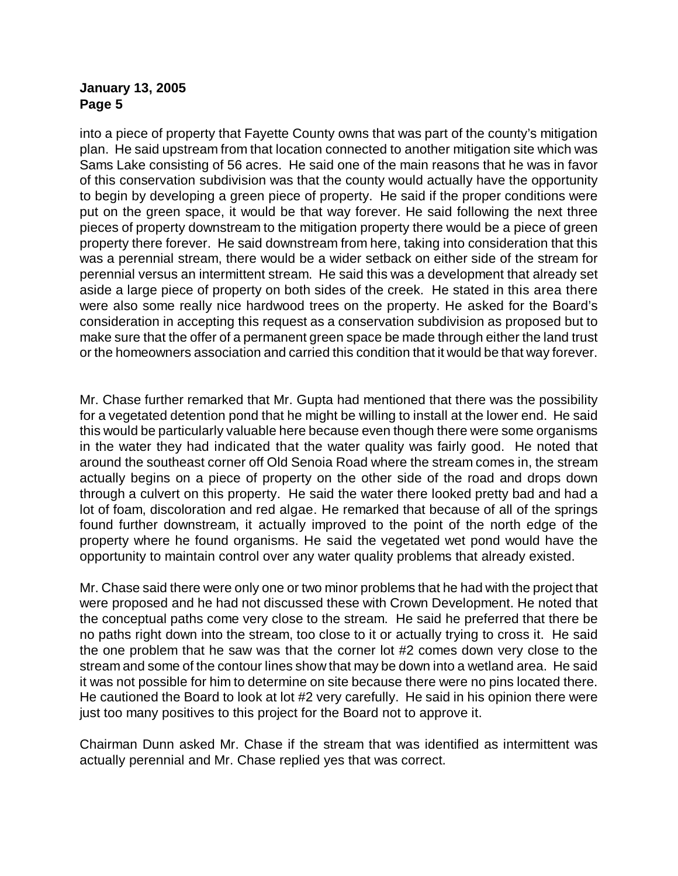into a piece of property that Fayette County owns that was part of the county's mitigation plan. He said upstream from that location connected to another mitigation site which was Sams Lake consisting of 56 acres. He said one of the main reasons that he was in favor of this conservation subdivision was that the county would actually have the opportunity to begin by developing a green piece of property. He said if the proper conditions were put on the green space, it would be that way forever. He said following the next three pieces of property downstream to the mitigation property there would be a piece of green property there forever. He said downstream from here, taking into consideration that this was a perennial stream, there would be a wider setback on either side of the stream for perennial versus an intermittent stream. He said this was a development that already set aside a large piece of property on both sides of the creek. He stated in this area there were also some really nice hardwood trees on the property. He asked for the Board's consideration in accepting this request as a conservation subdivision as proposed but to make sure that the offer of a permanent green space be made through either the land trust or the homeowners association and carried this condition that it would be that way forever.

Mr. Chase further remarked that Mr. Gupta had mentioned that there was the possibility for a vegetated detention pond that he might be willing to install at the lower end. He said this would be particularly valuable here because even though there were some organisms in the water they had indicated that the water quality was fairly good. He noted that around the southeast corner off Old Senoia Road where the stream comes in, the stream actually begins on a piece of property on the other side of the road and drops down through a culvert on this property. He said the water there looked pretty bad and had a lot of foam, discoloration and red algae. He remarked that because of all of the springs found further downstream, it actually improved to the point of the north edge of the property where he found organisms. He said the vegetated wet pond would have the opportunity to maintain control over any water quality problems that already existed.

Mr. Chase said there were only one or two minor problems that he had with the project that were proposed and he had not discussed these with Crown Development. He noted that the conceptual paths come very close to the stream. He said he preferred that there be no paths right down into the stream, too close to it or actually trying to cross it. He said the one problem that he saw was that the corner lot #2 comes down very close to the stream and some of the contour lines show that may be down into a wetland area. He said it was not possible for him to determine on site because there were no pins located there. He cautioned the Board to look at lot #2 very carefully. He said in his opinion there were just too many positives to this project for the Board not to approve it.

Chairman Dunn asked Mr. Chase if the stream that was identified as intermittent was actually perennial and Mr. Chase replied yes that was correct.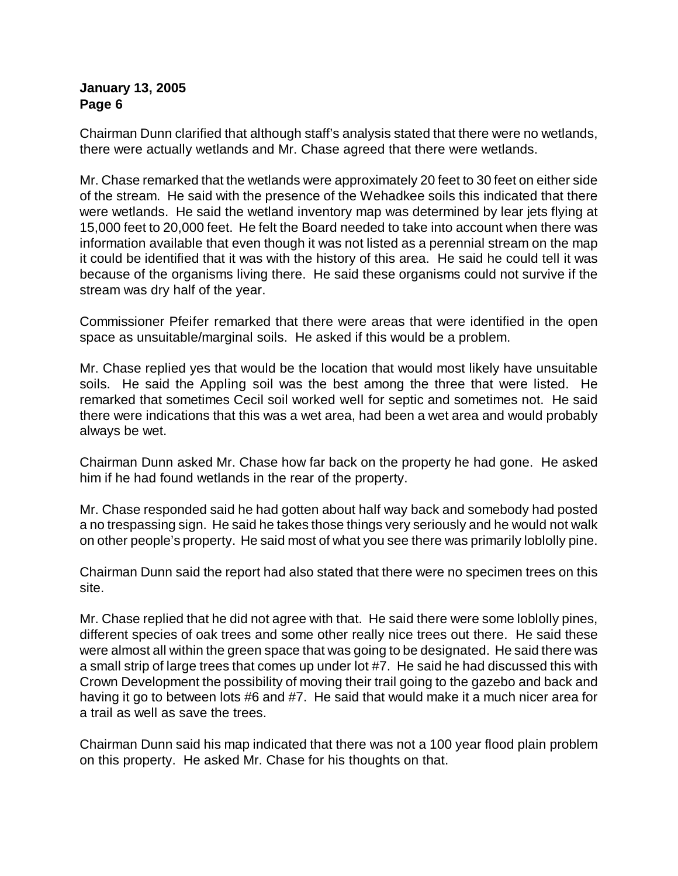Chairman Dunn clarified that although staff's analysis stated that there were no wetlands, there were actually wetlands and Mr. Chase agreed that there were wetlands.

Mr. Chase remarked that the wetlands were approximately 20 feet to 30 feet on either side of the stream. He said with the presence of the Wehadkee soils this indicated that there were wetlands. He said the wetland inventory map was determined by lear jets flying at 15,000 feet to 20,000 feet. He felt the Board needed to take into account when there was information available that even though it was not listed as a perennial stream on the map it could be identified that it was with the history of this area. He said he could tell it was because of the organisms living there. He said these organisms could not survive if the stream was dry half of the year.

Commissioner Pfeifer remarked that there were areas that were identified in the open space as unsuitable/marginal soils. He asked if this would be a problem.

Mr. Chase replied yes that would be the location that would most likely have unsuitable soils. He said the Appling soil was the best among the three that were listed. He remarked that sometimes Cecil soil worked well for septic and sometimes not. He said there were indications that this was a wet area, had been a wet area and would probably always be wet.

Chairman Dunn asked Mr. Chase how far back on the property he had gone. He asked him if he had found wetlands in the rear of the property.

Mr. Chase responded said he had gotten about half way back and somebody had posted a no trespassing sign. He said he takes those things very seriously and he would not walk on other people's property. He said most of what you see there was primarily loblolly pine.

Chairman Dunn said the report had also stated that there were no specimen trees on this site.

Mr. Chase replied that he did not agree with that. He said there were some loblolly pines, different species of oak trees and some other really nice trees out there. He said these were almost all within the green space that was going to be designated. He said there was a small strip of large trees that comes up under lot #7. He said he had discussed this with Crown Development the possibility of moving their trail going to the gazebo and back and having it go to between lots #6 and #7. He said that would make it a much nicer area for a trail as well as save the trees.

Chairman Dunn said his map indicated that there was not a 100 year flood plain problem on this property. He asked Mr. Chase for his thoughts on that.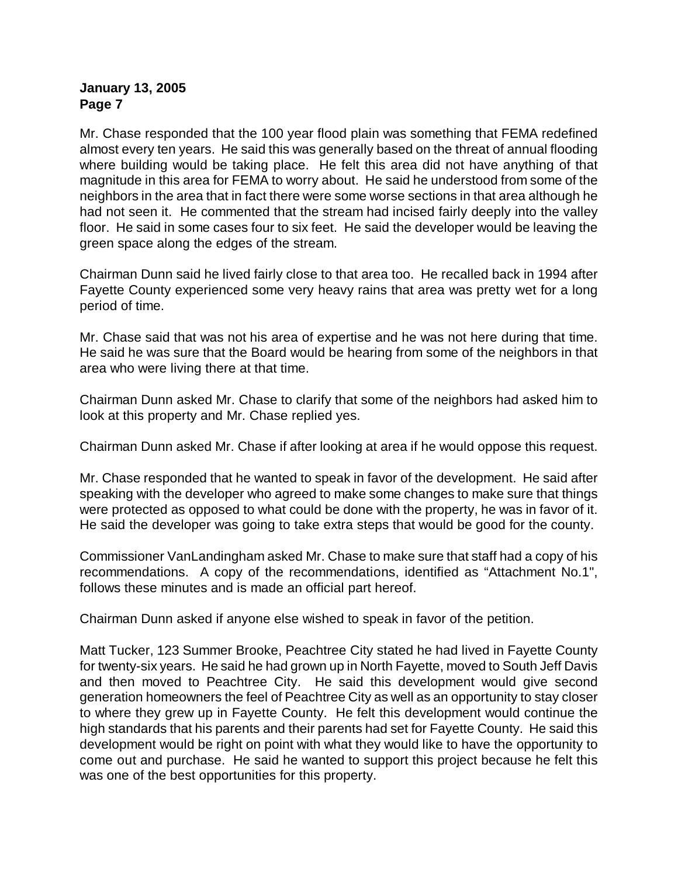Mr. Chase responded that the 100 year flood plain was something that FEMA redefined almost every ten years. He said this was generally based on the threat of annual flooding where building would be taking place. He felt this area did not have anything of that magnitude in this area for FEMA to worry about. He said he understood from some of the neighbors in the area that in fact there were some worse sections in that area although he had not seen it. He commented that the stream had incised fairly deeply into the valley floor. He said in some cases four to six feet. He said the developer would be leaving the green space along the edges of the stream.

Chairman Dunn said he lived fairly close to that area too. He recalled back in 1994 after Fayette County experienced some very heavy rains that area was pretty wet for a long period of time.

Mr. Chase said that was not his area of expertise and he was not here during that time. He said he was sure that the Board would be hearing from some of the neighbors in that area who were living there at that time.

Chairman Dunn asked Mr. Chase to clarify that some of the neighbors had asked him to look at this property and Mr. Chase replied yes.

Chairman Dunn asked Mr. Chase if after looking at area if he would oppose this request.

Mr. Chase responded that he wanted to speak in favor of the development. He said after speaking with the developer who agreed to make some changes to make sure that things were protected as opposed to what could be done with the property, he was in favor of it. He said the developer was going to take extra steps that would be good for the county.

Commissioner VanLandingham asked Mr. Chase to make sure that staff had a copy of his recommendations. A copy of the recommendations, identified as "Attachment No.1", follows these minutes and is made an official part hereof.

Chairman Dunn asked if anyone else wished to speak in favor of the petition.

Matt Tucker, 123 Summer Brooke, Peachtree City stated he had lived in Fayette County for twenty-six years. He said he had grown up in North Fayette, moved to South Jeff Davis and then moved to Peachtree City. He said this development would give second generation homeowners the feel of Peachtree City as well as an opportunity to stay closer to where they grew up in Fayette County. He felt this development would continue the high standards that his parents and their parents had set for Fayette County. He said this development would be right on point with what they would like to have the opportunity to come out and purchase. He said he wanted to support this project because he felt this was one of the best opportunities for this property.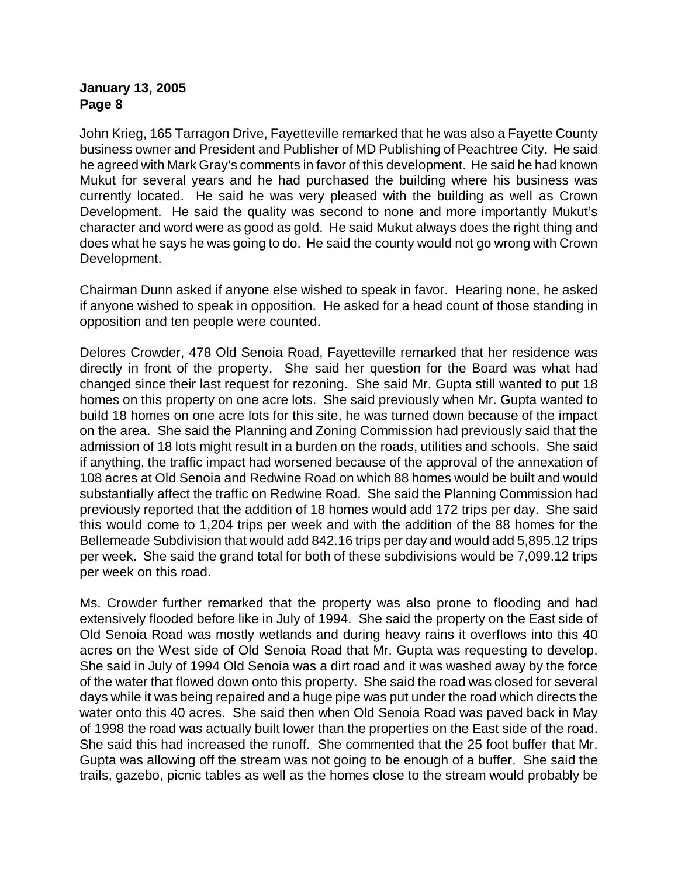John Krieg, 165 Tarragon Drive, Fayetteville remarked that he was also a Fayette County business owner and President and Publisher of MD Publishing of Peachtree City. He said he agreed with Mark Gray's comments in favor of this development. He said he had known Mukut for several years and he had purchased the building where his business was currently located. He said he was very pleased with the building as well as Crown Development. He said the quality was second to none and more importantly Mukut's character and word were as good as gold. He said Mukut always does the right thing and does what he says he was going to do. He said the county would not go wrong with Crown Development.

Chairman Dunn asked if anyone else wished to speak in favor. Hearing none, he asked if anyone wished to speak in opposition. He asked for a head count of those standing in opposition and ten people were counted.

Delores Crowder, 478 Old Senoia Road, Fayetteville remarked that her residence was directly in front of the property. She said her question for the Board was what had changed since their last request for rezoning. She said Mr. Gupta still wanted to put 18 homes on this property on one acre lots. She said previously when Mr. Gupta wanted to build 18 homes on one acre lots for this site, he was turned down because of the impact on the area. She said the Planning and Zoning Commission had previously said that the admission of 18 lots might result in a burden on the roads, utilities and schools. She said if anything, the traffic impact had worsened because of the approval of the annexation of 108 acres at Old Senoia and Redwine Road on which 88 homes would be built and would substantially affect the traffic on Redwine Road. She said the Planning Commission had previously reported that the addition of 18 homes would add 172 trips per day. She said this would come to 1,204 trips per week and with the addition of the 88 homes for the Bellemeade Subdivision that would add 842.16 trips per day and would add 5,895.12 trips per week. She said the grand total for both of these subdivisions would be 7,099.12 trips per week on this road.

Ms. Crowder further remarked that the property was also prone to flooding and had extensively flooded before like in July of 1994. She said the property on the East side of Old Senoia Road was mostly wetlands and during heavy rains it overflows into this 40 acres on the West side of Old Senoia Road that Mr. Gupta was requesting to develop. She said in July of 1994 Old Senoia was a dirt road and it was washed away by the force of the water that flowed down onto this property. She said the road was closed for several days while it was being repaired and a huge pipe was put under the road which directs the water onto this 40 acres. She said then when Old Senoia Road was paved back in May of 1998 the road was actually built lower than the properties on the East side of the road. She said this had increased the runoff. She commented that the 25 foot buffer that Mr. Gupta was allowing off the stream was not going to be enough of a buffer. She said the trails, gazebo, picnic tables as well as the homes close to the stream would probably be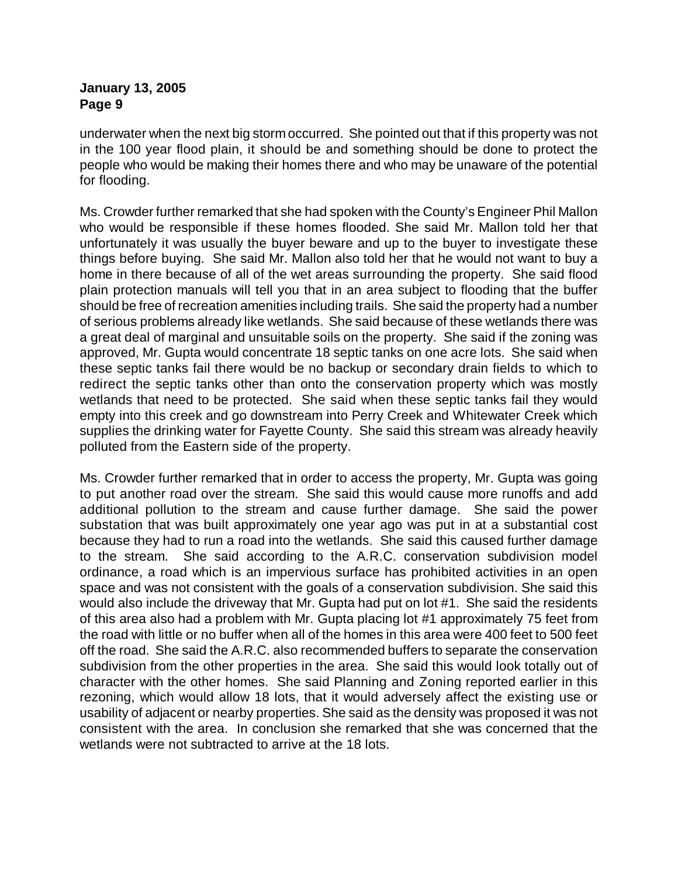underwater when the next big storm occurred. She pointed out that if this property was not in the 100 year flood plain, it should be and something should be done to protect the people who would be making their homes there and who may be unaware of the potential for flooding.

Ms. Crowder further remarked that she had spoken with the County's Engineer Phil Mallon who would be responsible if these homes flooded. She said Mr. Mallon told her that unfortunately it was usually the buyer beware and up to the buyer to investigate these things before buying. She said Mr. Mallon also told her that he would not want to buy a home in there because of all of the wet areas surrounding the property. She said flood plain protection manuals will tell you that in an area subject to flooding that the buffer should be free of recreation amenities including trails. She said the property had a number of serious problems already like wetlands. She said because of these wetlands there was a great deal of marginal and unsuitable soils on the property. She said if the zoning was approved, Mr. Gupta would concentrate 18 septic tanks on one acre lots. She said when these septic tanks fail there would be no backup or secondary drain fields to which to redirect the septic tanks other than onto the conservation property which was mostly wetlands that need to be protected. She said when these septic tanks fail they would empty into this creek and go downstream into Perry Creek and Whitewater Creek which supplies the drinking water for Fayette County. She said this stream was already heavily polluted from the Eastern side of the property.

Ms. Crowder further remarked that in order to access the property, Mr. Gupta was going to put another road over the stream. She said this would cause more runoffs and add additional pollution to the stream and cause further damage. She said the power substation that was built approximately one year ago was put in at a substantial cost because they had to run a road into the wetlands. She said this caused further damage to the stream. She said according to the A.R.C. conservation subdivision model ordinance, a road which is an impervious surface has prohibited activities in an open space and was not consistent with the goals of a conservation subdivision. She said this would also include the driveway that Mr. Gupta had put on lot #1. She said the residents of this area also had a problem with Mr. Gupta placing lot #1 approximately 75 feet from the road with little or no buffer when all of the homes in this area were 400 feet to 500 feet off the road. She said the A.R.C. also recommended buffers to separate the conservation subdivision from the other properties in the area. She said this would look totally out of character with the other homes. She said Planning and Zoning reported earlier in this rezoning, which would allow 18 lots, that it would adversely affect the existing use or usability of adjacent or nearby properties. She said as the density was proposed it was not consistent with the area. In conclusion she remarked that she was concerned that the wetlands were not subtracted to arrive at the 18 lots.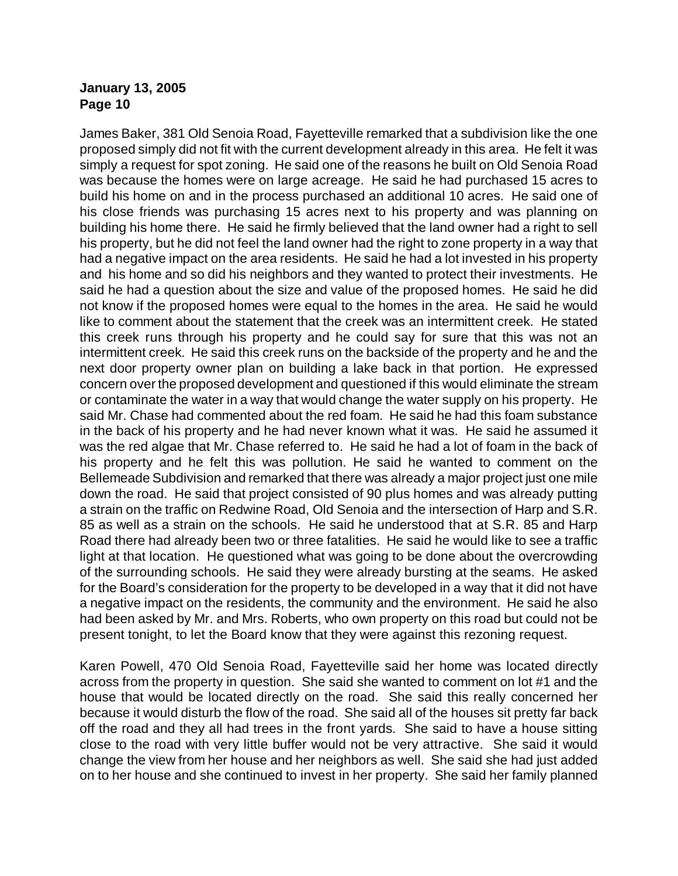James Baker, 381 Old Senoia Road, Fayetteville remarked that a subdivision like the one proposed simply did not fit with the current development already in this area. He felt it was simply a request for spot zoning. He said one of the reasons he built on Old Senoia Road was because the homes were on large acreage. He said he had purchased 15 acres to build his home on and in the process purchased an additional 10 acres. He said one of his close friends was purchasing 15 acres next to his property and was planning on building his home there. He said he firmly believed that the land owner had a right to sell his property, but he did not feel the land owner had the right to zone property in a way that had a negative impact on the area residents. He said he had a lot invested in his property and his home and so did his neighbors and they wanted to protect their investments. He said he had a question about the size and value of the proposed homes. He said he did not know if the proposed homes were equal to the homes in the area. He said he would like to comment about the statement that the creek was an intermittent creek. He stated this creek runs through his property and he could say for sure that this was not an intermittent creek. He said this creek runs on the backside of the property and he and the next door property owner plan on building a lake back in that portion. He expressed concern over the proposed development and questioned if this would eliminate the stream or contaminate the water in a way that would change the water supply on his property. He said Mr. Chase had commented about the red foam. He said he had this foam substance in the back of his property and he had never known what it was. He said he assumed it was the red algae that Mr. Chase referred to. He said he had a lot of foam in the back of his property and he felt this was pollution. He said he wanted to comment on the Bellemeade Subdivision and remarked that there was already a major project just one mile down the road. He said that project consisted of 90 plus homes and was already putting a strain on the traffic on Redwine Road, Old Senoia and the intersection of Harp and S.R. 85 as well as a strain on the schools. He said he understood that at S.R. 85 and Harp Road there had already been two or three fatalities. He said he would like to see a traffic light at that location. He questioned what was going to be done about the overcrowding of the surrounding schools. He said they were already bursting at the seams. He asked for the Board's consideration for the property to be developed in a way that it did not have a negative impact on the residents, the community and the environment. He said he also had been asked by Mr. and Mrs. Roberts, who own property on this road but could not be present tonight, to let the Board know that they were against this rezoning request.

Karen Powell, 470 Old Senoia Road, Fayetteville said her home was located directly across from the property in question. She said she wanted to comment on lot #1 and the house that would be located directly on the road. She said this really concerned her because it would disturb the flow of the road. She said all of the houses sit pretty far back off the road and they all had trees in the front yards. She said to have a house sitting close to the road with very little buffer would not be very attractive. She said it would change the view from her house and her neighbors as well. She said she had just added on to her house and she continued to invest in her property. She said her family planned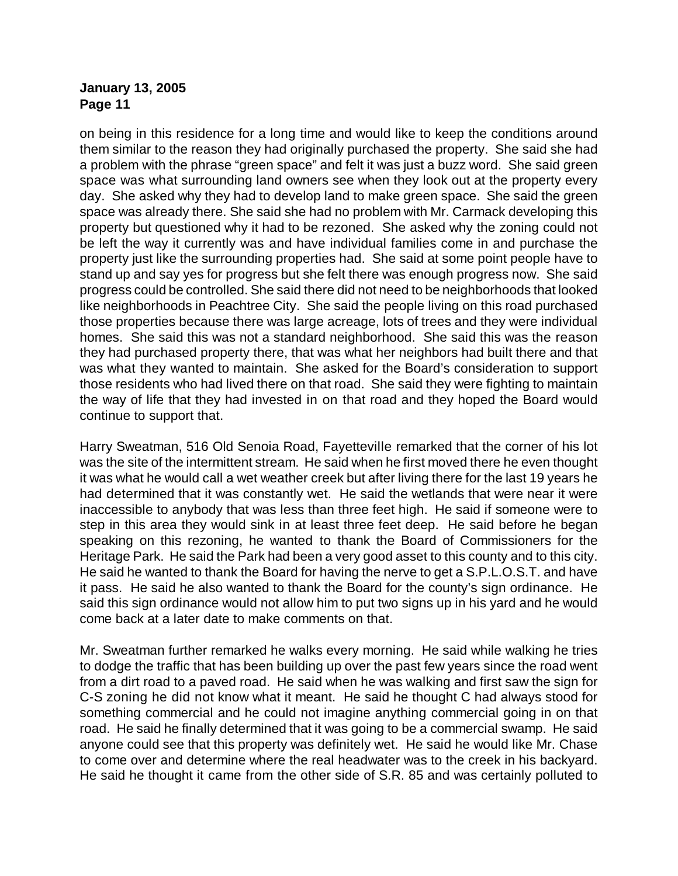on being in this residence for a long time and would like to keep the conditions around them similar to the reason they had originally purchased the property. She said she had a problem with the phrase "green space" and felt it was just a buzz word. She said green space was what surrounding land owners see when they look out at the property every day. She asked why they had to develop land to make green space. She said the green space was already there. She said she had no problem with Mr. Carmack developing this property but questioned why it had to be rezoned. She asked why the zoning could not be left the way it currently was and have individual families come in and purchase the property just like the surrounding properties had. She said at some point people have to stand up and say yes for progress but she felt there was enough progress now. She said progress could be controlled. She said there did not need to be neighborhoods that looked like neighborhoods in Peachtree City. She said the people living on this road purchased those properties because there was large acreage, lots of trees and they were individual homes. She said this was not a standard neighborhood. She said this was the reason they had purchased property there, that was what her neighbors had built there and that was what they wanted to maintain. She asked for the Board's consideration to support those residents who had lived there on that road. She said they were fighting to maintain the way of life that they had invested in on that road and they hoped the Board would continue to support that.

Harry Sweatman, 516 Old Senoia Road, Fayetteville remarked that the corner of his lot was the site of the intermittent stream. He said when he first moved there he even thought it was what he would call a wet weather creek but after living there for the last 19 years he had determined that it was constantly wet. He said the wetlands that were near it were inaccessible to anybody that was less than three feet high. He said if someone were to step in this area they would sink in at least three feet deep. He said before he began speaking on this rezoning, he wanted to thank the Board of Commissioners for the Heritage Park. He said the Park had been a very good asset to this county and to this city. He said he wanted to thank the Board for having the nerve to get a S.P.L.O.S.T. and have it pass. He said he also wanted to thank the Board for the county's sign ordinance. He said this sign ordinance would not allow him to put two signs up in his yard and he would come back at a later date to make comments on that.

Mr. Sweatman further remarked he walks every morning. He said while walking he tries to dodge the traffic that has been building up over the past few years since the road went from a dirt road to a paved road. He said when he was walking and first saw the sign for C-S zoning he did not know what it meant. He said he thought C had always stood for something commercial and he could not imagine anything commercial going in on that road. He said he finally determined that it was going to be a commercial swamp. He said anyone could see that this property was definitely wet. He said he would like Mr. Chase to come over and determine where the real headwater was to the creek in his backyard. He said he thought it came from the other side of S.R. 85 and was certainly polluted to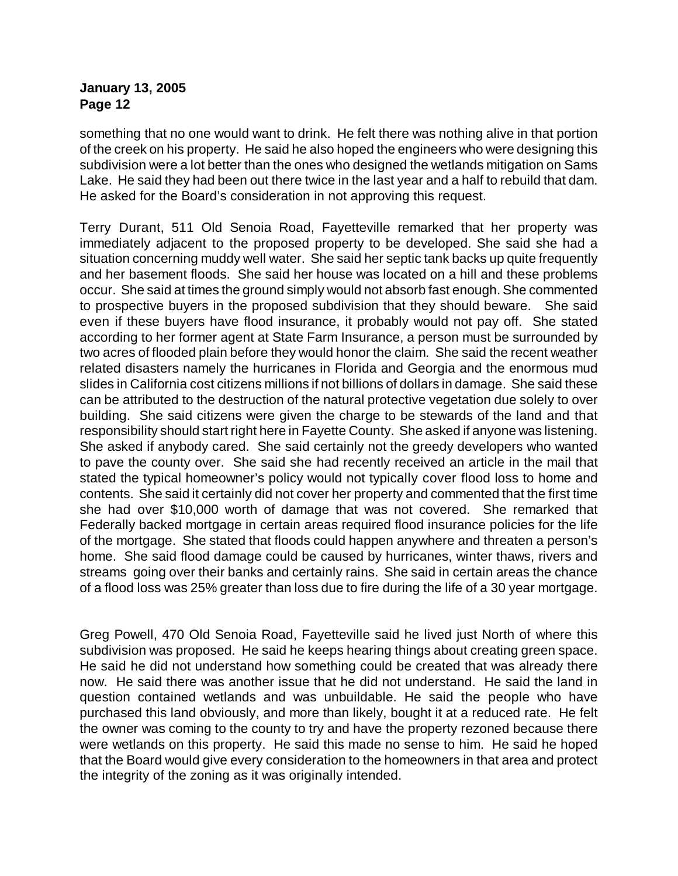something that no one would want to drink. He felt there was nothing alive in that portion of the creek on his property. He said he also hoped the engineers who were designing this subdivision were a lot better than the ones who designed the wetlands mitigation on Sams Lake. He said they had been out there twice in the last year and a half to rebuild that dam. He asked for the Board's consideration in not approving this request.

Terry Durant, 511 Old Senoia Road, Fayetteville remarked that her property was immediately adjacent to the proposed property to be developed. She said she had a situation concerning muddy well water. She said her septic tank backs up quite frequently and her basement floods. She said her house was located on a hill and these problems occur. She said at times the ground simply would not absorb fast enough. She commented to prospective buyers in the proposed subdivision that they should beware. She said even if these buyers have flood insurance, it probably would not pay off. She stated according to her former agent at State Farm Insurance, a person must be surrounded by two acres of flooded plain before they would honor the claim. She said the recent weather related disasters namely the hurricanes in Florida and Georgia and the enormous mud slides in California cost citizens millions if not billions of dollars in damage. She said these can be attributed to the destruction of the natural protective vegetation due solely to over building. She said citizens were given the charge to be stewards of the land and that responsibility should start right here in Fayette County. She asked if anyone was listening. She asked if anybody cared. She said certainly not the greedy developers who wanted to pave the county over. She said she had recently received an article in the mail that stated the typical homeowner's policy would not typically cover flood loss to home and contents. She said it certainly did not cover her property and commented that the first time she had over \$10,000 worth of damage that was not covered. She remarked that Federally backed mortgage in certain areas required flood insurance policies for the life of the mortgage. She stated that floods could happen anywhere and threaten a person's home. She said flood damage could be caused by hurricanes, winter thaws, rivers and streams going over their banks and certainly rains. She said in certain areas the chance of a flood loss was 25% greater than loss due to fire during the life of a 30 year mortgage.

Greg Powell, 470 Old Senoia Road, Fayetteville said he lived just North of where this subdivision was proposed. He said he keeps hearing things about creating green space. He said he did not understand how something could be created that was already there now. He said there was another issue that he did not understand. He said the land in question contained wetlands and was unbuildable. He said the people who have purchased this land obviously, and more than likely, bought it at a reduced rate. He felt the owner was coming to the county to try and have the property rezoned because there were wetlands on this property. He said this made no sense to him. He said he hoped that the Board would give every consideration to the homeowners in that area and protect the integrity of the zoning as it was originally intended.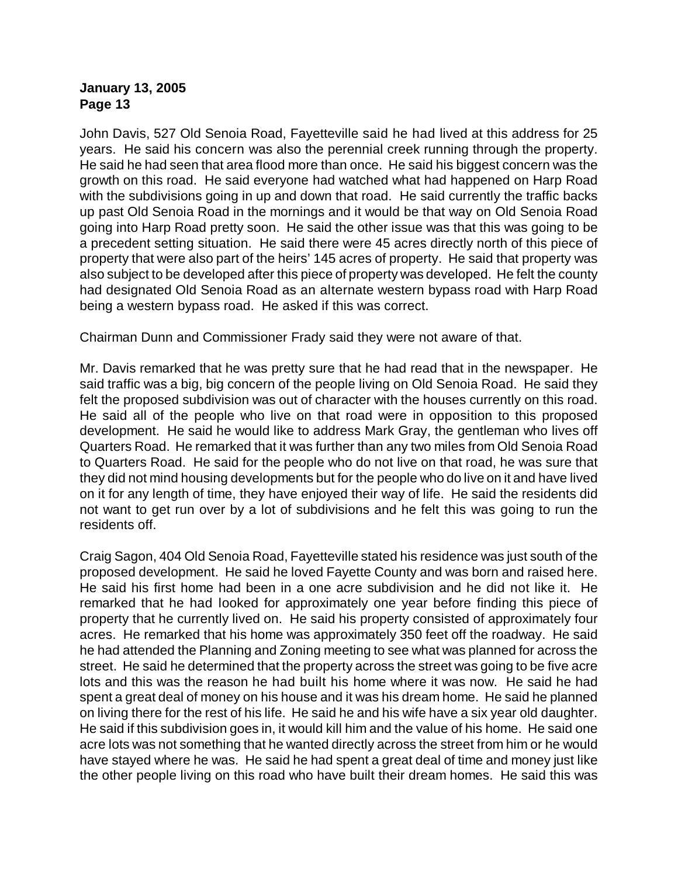John Davis, 527 Old Senoia Road, Fayetteville said he had lived at this address for 25 years. He said his concern was also the perennial creek running through the property. He said he had seen that area flood more than once. He said his biggest concern was the growth on this road. He said everyone had watched what had happened on Harp Road with the subdivisions going in up and down that road. He said currently the traffic backs up past Old Senoia Road in the mornings and it would be that way on Old Senoia Road going into Harp Road pretty soon. He said the other issue was that this was going to be a precedent setting situation. He said there were 45 acres directly north of this piece of property that were also part of the heirs' 145 acres of property. He said that property was also subject to be developed after this piece of property was developed. He felt the county had designated Old Senoia Road as an alternate western bypass road with Harp Road being a western bypass road. He asked if this was correct.

Chairman Dunn and Commissioner Frady said they were not aware of that.

Mr. Davis remarked that he was pretty sure that he had read that in the newspaper. He said traffic was a big, big concern of the people living on Old Senoia Road. He said they felt the proposed subdivision was out of character with the houses currently on this road. He said all of the people who live on that road were in opposition to this proposed development. He said he would like to address Mark Gray, the gentleman who lives off Quarters Road. He remarked that it was further than any two miles from Old Senoia Road to Quarters Road. He said for the people who do not live on that road, he was sure that they did not mind housing developments but for the people who do live on it and have lived on it for any length of time, they have enjoyed their way of life. He said the residents did not want to get run over by a lot of subdivisions and he felt this was going to run the residents off.

Craig Sagon, 404 Old Senoia Road, Fayetteville stated his residence was just south of the proposed development. He said he loved Fayette County and was born and raised here. He said his first home had been in a one acre subdivision and he did not like it. He remarked that he had looked for approximately one year before finding this piece of property that he currently lived on. He said his property consisted of approximately four acres. He remarked that his home was approximately 350 feet off the roadway. He said he had attended the Planning and Zoning meeting to see what was planned for across the street. He said he determined that the property across the street was going to be five acre lots and this was the reason he had built his home where it was now. He said he had spent a great deal of money on his house and it was his dream home. He said he planned on living there for the rest of his life. He said he and his wife have a six year old daughter. He said if this subdivision goes in, it would kill him and the value of his home. He said one acre lots was not something that he wanted directly across the street from him or he would have stayed where he was. He said he had spent a great deal of time and money just like the other people living on this road who have built their dream homes. He said this was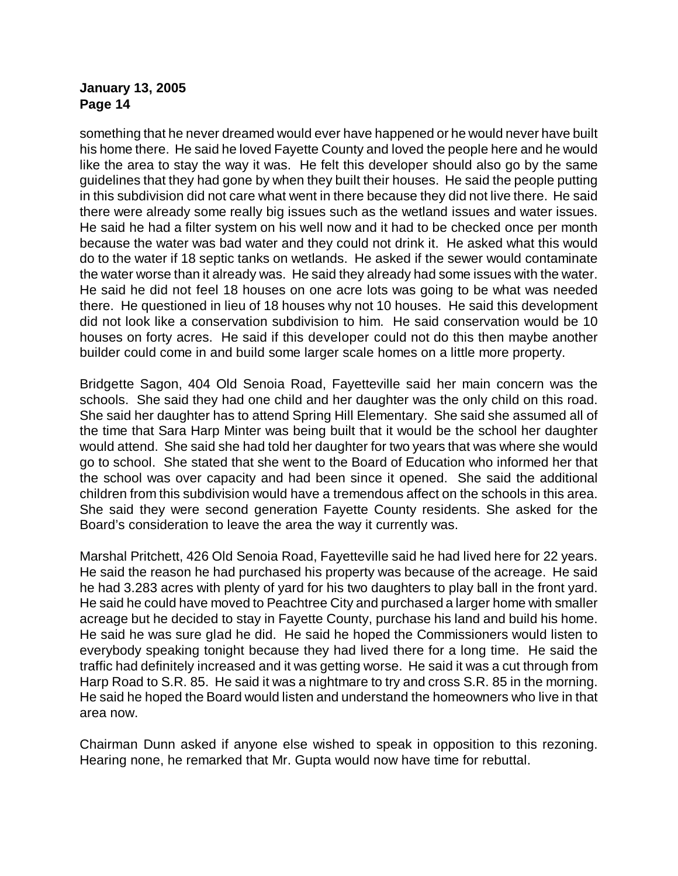something that he never dreamed would ever have happened or he would never have built his home there. He said he loved Fayette County and loved the people here and he would like the area to stay the way it was. He felt this developer should also go by the same guidelines that they had gone by when they built their houses. He said the people putting in this subdivision did not care what went in there because they did not live there. He said there were already some really big issues such as the wetland issues and water issues. He said he had a filter system on his well now and it had to be checked once per month because the water was bad water and they could not drink it. He asked what this would do to the water if 18 septic tanks on wetlands. He asked if the sewer would contaminate the water worse than it already was. He said they already had some issues with the water. He said he did not feel 18 houses on one acre lots was going to be what was needed there. He questioned in lieu of 18 houses why not 10 houses. He said this development did not look like a conservation subdivision to him. He said conservation would be 10 houses on forty acres. He said if this developer could not do this then maybe another builder could come in and build some larger scale homes on a little more property.

Bridgette Sagon, 404 Old Senoia Road, Fayetteville said her main concern was the schools. She said they had one child and her daughter was the only child on this road. She said her daughter has to attend Spring Hill Elementary. She said she assumed all of the time that Sara Harp Minter was being built that it would be the school her daughter would attend. She said she had told her daughter for two years that was where she would go to school. She stated that she went to the Board of Education who informed her that the school was over capacity and had been since it opened. She said the additional children from this subdivision would have a tremendous affect on the schools in this area. She said they were second generation Fayette County residents. She asked for the Board's consideration to leave the area the way it currently was.

Marshal Pritchett, 426 Old Senoia Road, Fayetteville said he had lived here for 22 years. He said the reason he had purchased his property was because of the acreage. He said he had 3.283 acres with plenty of yard for his two daughters to play ball in the front yard. He said he could have moved to Peachtree City and purchased a larger home with smaller acreage but he decided to stay in Fayette County, purchase his land and build his home. He said he was sure glad he did. He said he hoped the Commissioners would listen to everybody speaking tonight because they had lived there for a long time. He said the traffic had definitely increased and it was getting worse. He said it was a cut through from Harp Road to S.R. 85. He said it was a nightmare to try and cross S.R. 85 in the morning. He said he hoped the Board would listen and understand the homeowners who live in that area now.

Chairman Dunn asked if anyone else wished to speak in opposition to this rezoning. Hearing none, he remarked that Mr. Gupta would now have time for rebuttal.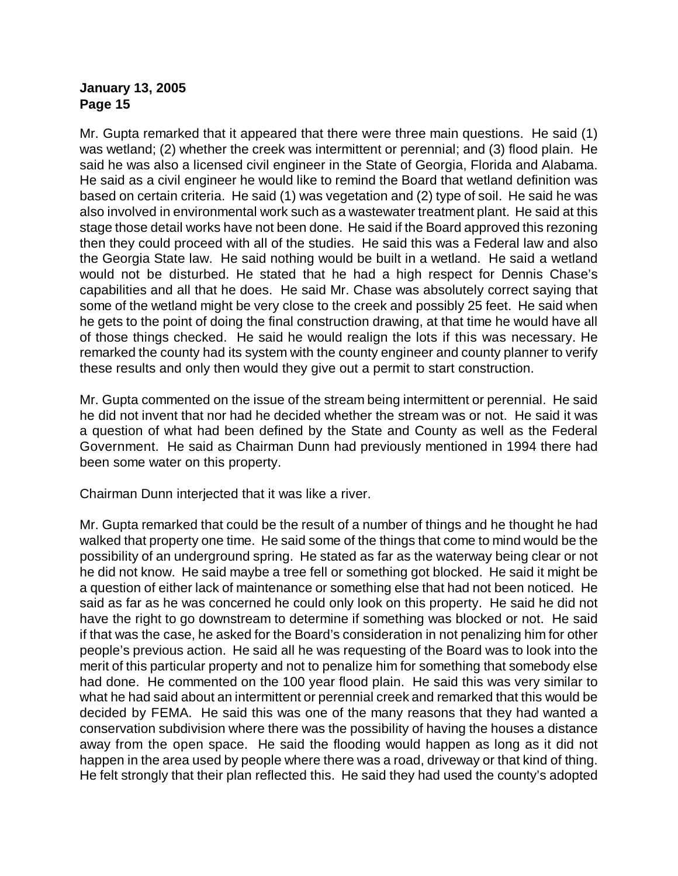Mr. Gupta remarked that it appeared that there were three main questions. He said (1) was wetland; (2) whether the creek was intermittent or perennial; and (3) flood plain. He said he was also a licensed civil engineer in the State of Georgia, Florida and Alabama. He said as a civil engineer he would like to remind the Board that wetland definition was based on certain criteria. He said (1) was vegetation and (2) type of soil. He said he was also involved in environmental work such as a wastewater treatment plant. He said at this stage those detail works have not been done. He said if the Board approved this rezoning then they could proceed with all of the studies. He said this was a Federal law and also the Georgia State law. He said nothing would be built in a wetland. He said a wetland would not be disturbed. He stated that he had a high respect for Dennis Chase's capabilities and all that he does. He said Mr. Chase was absolutely correct saying that some of the wetland might be very close to the creek and possibly 25 feet. He said when he gets to the point of doing the final construction drawing, at that time he would have all of those things checked. He said he would realign the lots if this was necessary. He remarked the county had its system with the county engineer and county planner to verify these results and only then would they give out a permit to start construction.

Mr. Gupta commented on the issue of the stream being intermittent or perennial. He said he did not invent that nor had he decided whether the stream was or not. He said it was a question of what had been defined by the State and County as well as the Federal Government. He said as Chairman Dunn had previously mentioned in 1994 there had been some water on this property.

Chairman Dunn interjected that it was like a river.

Mr. Gupta remarked that could be the result of a number of things and he thought he had walked that property one time. He said some of the things that come to mind would be the possibility of an underground spring. He stated as far as the waterway being clear or not he did not know. He said maybe a tree fell or something got blocked. He said it might be a question of either lack of maintenance or something else that had not been noticed. He said as far as he was concerned he could only look on this property. He said he did not have the right to go downstream to determine if something was blocked or not. He said if that was the case, he asked for the Board's consideration in not penalizing him for other people's previous action. He said all he was requesting of the Board was to look into the merit of this particular property and not to penalize him for something that somebody else had done. He commented on the 100 year flood plain. He said this was very similar to what he had said about an intermittent or perennial creek and remarked that this would be decided by FEMA. He said this was one of the many reasons that they had wanted a conservation subdivision where there was the possibility of having the houses a distance away from the open space. He said the flooding would happen as long as it did not happen in the area used by people where there was a road, driveway or that kind of thing. He felt strongly that their plan reflected this. He said they had used the county's adopted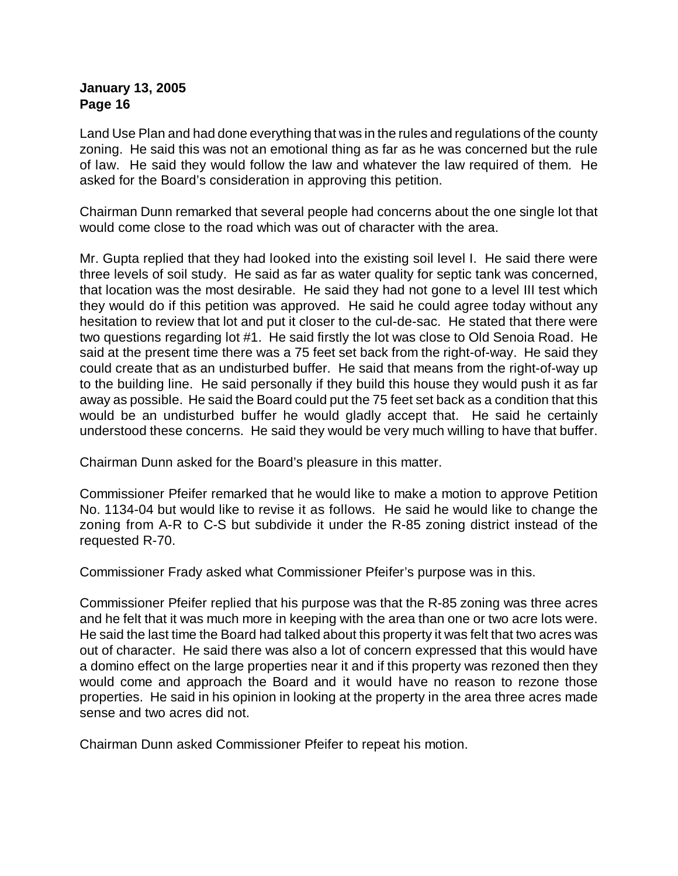Land Use Plan and had done everything that was in the rules and regulations of the county zoning. He said this was not an emotional thing as far as he was concerned but the rule of law. He said they would follow the law and whatever the law required of them. He asked for the Board's consideration in approving this petition.

Chairman Dunn remarked that several people had concerns about the one single lot that would come close to the road which was out of character with the area.

Mr. Gupta replied that they had looked into the existing soil level I. He said there were three levels of soil study. He said as far as water quality for septic tank was concerned, that location was the most desirable. He said they had not gone to a level III test which they would do if this petition was approved. He said he could agree today without any hesitation to review that lot and put it closer to the cul-de-sac. He stated that there were two questions regarding lot #1. He said firstly the lot was close to Old Senoia Road. He said at the present time there was a 75 feet set back from the right-of-way. He said they could create that as an undisturbed buffer. He said that means from the right-of-way up to the building line. He said personally if they build this house they would push it as far away as possible. He said the Board could put the 75 feet set back as a condition that this would be an undisturbed buffer he would gladly accept that. He said he certainly understood these concerns. He said they would be very much willing to have that buffer.

Chairman Dunn asked for the Board's pleasure in this matter.

Commissioner Pfeifer remarked that he would like to make a motion to approve Petition No. 1134-04 but would like to revise it as follows. He said he would like to change the zoning from A-R to C-S but subdivide it under the R-85 zoning district instead of the requested R-70.

Commissioner Frady asked what Commissioner Pfeifer's purpose was in this.

Commissioner Pfeifer replied that his purpose was that the R-85 zoning was three acres and he felt that it was much more in keeping with the area than one or two acre lots were. He said the last time the Board had talked about this property it was felt that two acres was out of character. He said there was also a lot of concern expressed that this would have a domino effect on the large properties near it and if this property was rezoned then they would come and approach the Board and it would have no reason to rezone those properties. He said in his opinion in looking at the property in the area three acres made sense and two acres did not.

Chairman Dunn asked Commissioner Pfeifer to repeat his motion.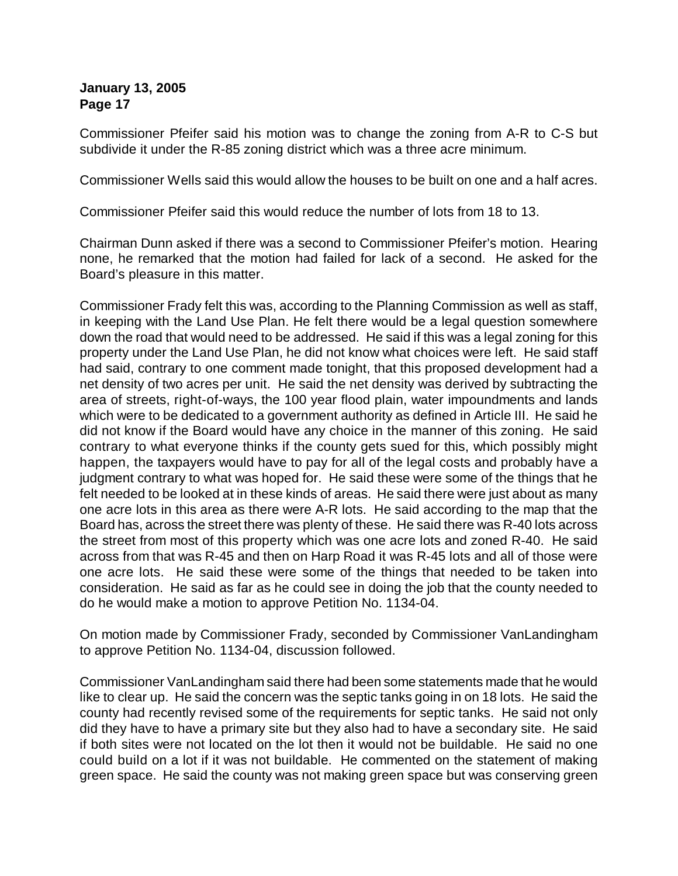Commissioner Pfeifer said his motion was to change the zoning from A-R to C-S but subdivide it under the R-85 zoning district which was a three acre minimum.

Commissioner Wells said this would allow the houses to be built on one and a half acres.

Commissioner Pfeifer said this would reduce the number of lots from 18 to 13.

Chairman Dunn asked if there was a second to Commissioner Pfeifer's motion. Hearing none, he remarked that the motion had failed for lack of a second. He asked for the Board's pleasure in this matter.

Commissioner Frady felt this was, according to the Planning Commission as well as staff, in keeping with the Land Use Plan. He felt there would be a legal question somewhere down the road that would need to be addressed. He said if this was a legal zoning for this property under the Land Use Plan, he did not know what choices were left. He said staff had said, contrary to one comment made tonight, that this proposed development had a net density of two acres per unit. He said the net density was derived by subtracting the area of streets, right-of-ways, the 100 year flood plain, water impoundments and lands which were to be dedicated to a government authority as defined in Article III. He said he did not know if the Board would have any choice in the manner of this zoning. He said contrary to what everyone thinks if the county gets sued for this, which possibly might happen, the taxpayers would have to pay for all of the legal costs and probably have a judgment contrary to what was hoped for. He said these were some of the things that he felt needed to be looked at in these kinds of areas. He said there were just about as many one acre lots in this area as there were A-R lots. He said according to the map that the Board has, across the street there was plenty of these. He said there was R-40 lots across the street from most of this property which was one acre lots and zoned R-40. He said across from that was R-45 and then on Harp Road it was R-45 lots and all of those were one acre lots. He said these were some of the things that needed to be taken into consideration. He said as far as he could see in doing the job that the county needed to do he would make a motion to approve Petition No. 1134-04.

On motion made by Commissioner Frady, seconded by Commissioner VanLandingham to approve Petition No. 1134-04, discussion followed.

Commissioner VanLandingham said there had been some statements made that he would like to clear up. He said the concern was the septic tanks going in on 18 lots. He said the county had recently revised some of the requirements for septic tanks. He said not only did they have to have a primary site but they also had to have a secondary site. He said if both sites were not located on the lot then it would not be buildable. He said no one could build on a lot if it was not buildable. He commented on the statement of making green space. He said the county was not making green space but was conserving green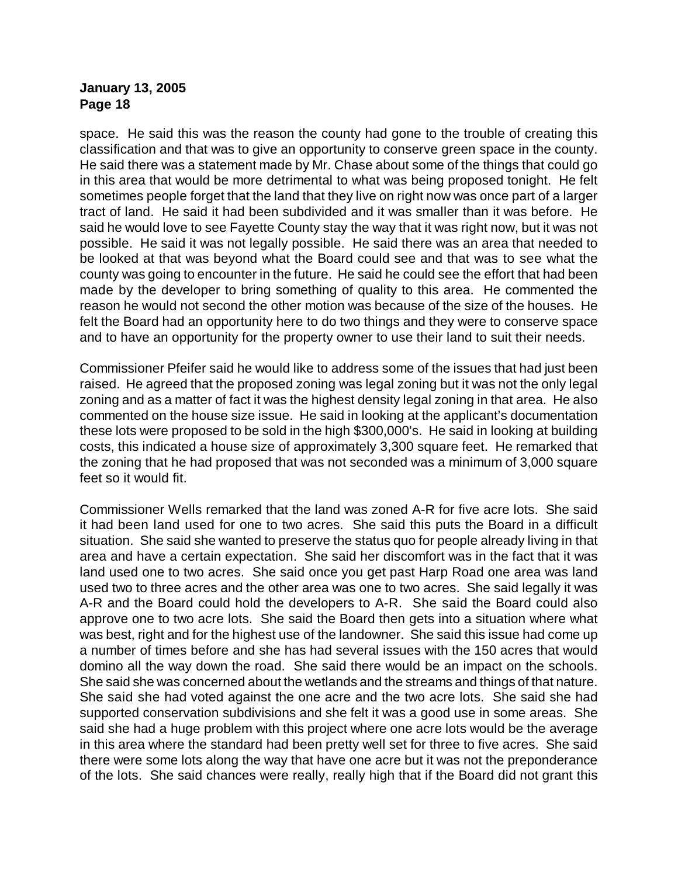space. He said this was the reason the county had gone to the trouble of creating this classification and that was to give an opportunity to conserve green space in the county. He said there was a statement made by Mr. Chase about some of the things that could go in this area that would be more detrimental to what was being proposed tonight. He felt sometimes people forget that the land that they live on right now was once part of a larger tract of land. He said it had been subdivided and it was smaller than it was before. He said he would love to see Fayette County stay the way that it was right now, but it was not possible. He said it was not legally possible. He said there was an area that needed to be looked at that was beyond what the Board could see and that was to see what the county was going to encounter in the future. He said he could see the effort that had been made by the developer to bring something of quality to this area. He commented the reason he would not second the other motion was because of the size of the houses. He felt the Board had an opportunity here to do two things and they were to conserve space and to have an opportunity for the property owner to use their land to suit their needs.

Commissioner Pfeifer said he would like to address some of the issues that had just been raised. He agreed that the proposed zoning was legal zoning but it was not the only legal zoning and as a matter of fact it was the highest density legal zoning in that area. He also commented on the house size issue. He said in looking at the applicant's documentation these lots were proposed to be sold in the high \$300,000's. He said in looking at building costs, this indicated a house size of approximately 3,300 square feet. He remarked that the zoning that he had proposed that was not seconded was a minimum of 3,000 square feet so it would fit.

Commissioner Wells remarked that the land was zoned A-R for five acre lots. She said it had been land used for one to two acres. She said this puts the Board in a difficult situation. She said she wanted to preserve the status quo for people already living in that area and have a certain expectation. She said her discomfort was in the fact that it was land used one to two acres. She said once you get past Harp Road one area was land used two to three acres and the other area was one to two acres. She said legally it was A-R and the Board could hold the developers to A-R. She said the Board could also approve one to two acre lots. She said the Board then gets into a situation where what was best, right and for the highest use of the landowner. She said this issue had come up a number of times before and she has had several issues with the 150 acres that would domino all the way down the road. She said there would be an impact on the schools. She said she was concerned about the wetlands and the streams and things of that nature. She said she had voted against the one acre and the two acre lots. She said she had supported conservation subdivisions and she felt it was a good use in some areas. She said she had a huge problem with this project where one acre lots would be the average in this area where the standard had been pretty well set for three to five acres. She said there were some lots along the way that have one acre but it was not the preponderance of the lots. She said chances were really, really high that if the Board did not grant this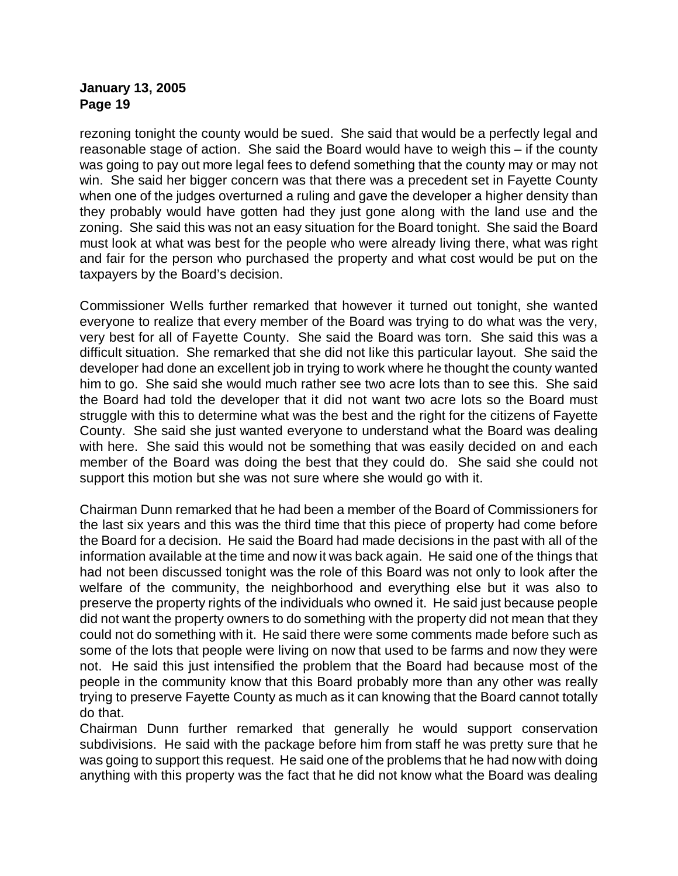rezoning tonight the county would be sued. She said that would be a perfectly legal and reasonable stage of action. She said the Board would have to weigh this – if the county was going to pay out more legal fees to defend something that the county may or may not win. She said her bigger concern was that there was a precedent set in Fayette County when one of the judges overturned a ruling and gave the developer a higher density than they probably would have gotten had they just gone along with the land use and the zoning. She said this was not an easy situation for the Board tonight. She said the Board must look at what was best for the people who were already living there, what was right and fair for the person who purchased the property and what cost would be put on the taxpayers by the Board's decision.

Commissioner Wells further remarked that however it turned out tonight, she wanted everyone to realize that every member of the Board was trying to do what was the very, very best for all of Fayette County. She said the Board was torn. She said this was a difficult situation. She remarked that she did not like this particular layout. She said the developer had done an excellent job in trying to work where he thought the county wanted him to go. She said she would much rather see two acre lots than to see this. She said the Board had told the developer that it did not want two acre lots so the Board must struggle with this to determine what was the best and the right for the citizens of Fayette County. She said she just wanted everyone to understand what the Board was dealing with here. She said this would not be something that was easily decided on and each member of the Board was doing the best that they could do. She said she could not support this motion but she was not sure where she would go with it.

Chairman Dunn remarked that he had been a member of the Board of Commissioners for the last six years and this was the third time that this piece of property had come before the Board for a decision. He said the Board had made decisions in the past with all of the information available at the time and now it was back again. He said one of the things that had not been discussed tonight was the role of this Board was not only to look after the welfare of the community, the neighborhood and everything else but it was also to preserve the property rights of the individuals who owned it. He said just because people did not want the property owners to do something with the property did not mean that they could not do something with it. He said there were some comments made before such as some of the lots that people were living on now that used to be farms and now they were not. He said this just intensified the problem that the Board had because most of the people in the community know that this Board probably more than any other was really trying to preserve Fayette County as much as it can knowing that the Board cannot totally do that.

Chairman Dunn further remarked that generally he would support conservation subdivisions. He said with the package before him from staff he was pretty sure that he was going to support this request. He said one of the problems that he had now with doing anything with this property was the fact that he did not know what the Board was dealing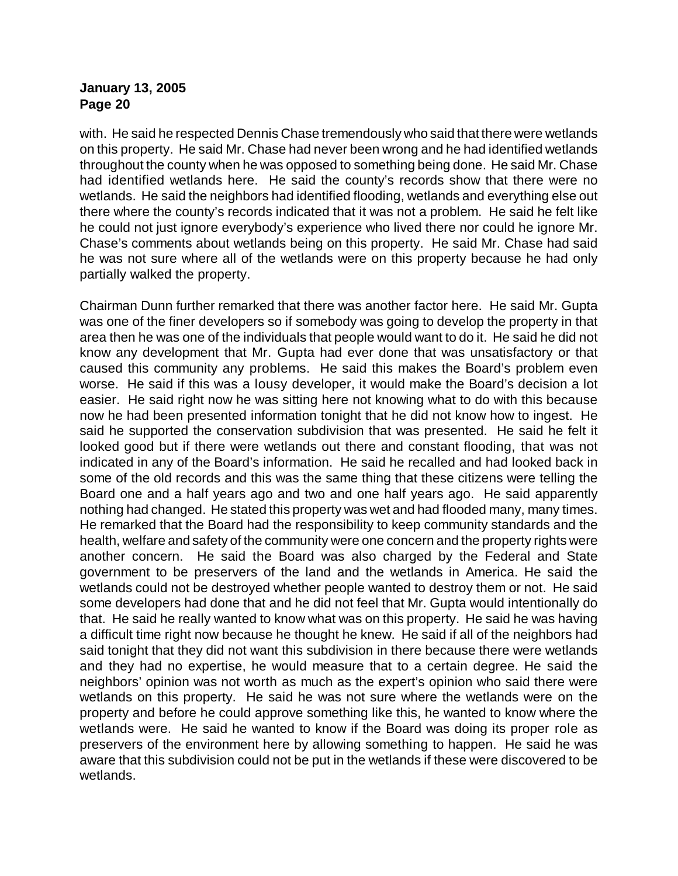with. He said he respected Dennis Chase tremendously who said that there were wetlands on this property. He said Mr. Chase had never been wrong and he had identified wetlands throughout the county when he was opposed to something being done. He said Mr. Chase had identified wetlands here. He said the county's records show that there were no wetlands. He said the neighbors had identified flooding, wetlands and everything else out there where the county's records indicated that it was not a problem. He said he felt like he could not just ignore everybody's experience who lived there nor could he ignore Mr. Chase's comments about wetlands being on this property. He said Mr. Chase had said he was not sure where all of the wetlands were on this property because he had only partially walked the property.

Chairman Dunn further remarked that there was another factor here. He said Mr. Gupta was one of the finer developers so if somebody was going to develop the property in that area then he was one of the individuals that people would want to do it. He said he did not know any development that Mr. Gupta had ever done that was unsatisfactory or that caused this community any problems. He said this makes the Board's problem even worse. He said if this was a lousy developer, it would make the Board's decision a lot easier. He said right now he was sitting here not knowing what to do with this because now he had been presented information tonight that he did not know how to ingest. He said he supported the conservation subdivision that was presented. He said he felt it looked good but if there were wetlands out there and constant flooding, that was not indicated in any of the Board's information. He said he recalled and had looked back in some of the old records and this was the same thing that these citizens were telling the Board one and a half years ago and two and one half years ago. He said apparently nothing had changed. He stated this property was wet and had flooded many, many times. He remarked that the Board had the responsibility to keep community standards and the health, welfare and safety of the community were one concern and the property rights were another concern. He said the Board was also charged by the Federal and State government to be preservers of the land and the wetlands in America. He said the wetlands could not be destroyed whether people wanted to destroy them or not. He said some developers had done that and he did not feel that Mr. Gupta would intentionally do that. He said he really wanted to know what was on this property. He said he was having a difficult time right now because he thought he knew. He said if all of the neighbors had said tonight that they did not want this subdivision in there because there were wetlands and they had no expertise, he would measure that to a certain degree. He said the neighbors' opinion was not worth as much as the expert's opinion who said there were wetlands on this property. He said he was not sure where the wetlands were on the property and before he could approve something like this, he wanted to know where the wetlands were. He said he wanted to know if the Board was doing its proper role as preservers of the environment here by allowing something to happen. He said he was aware that this subdivision could not be put in the wetlands if these were discovered to be wetlands.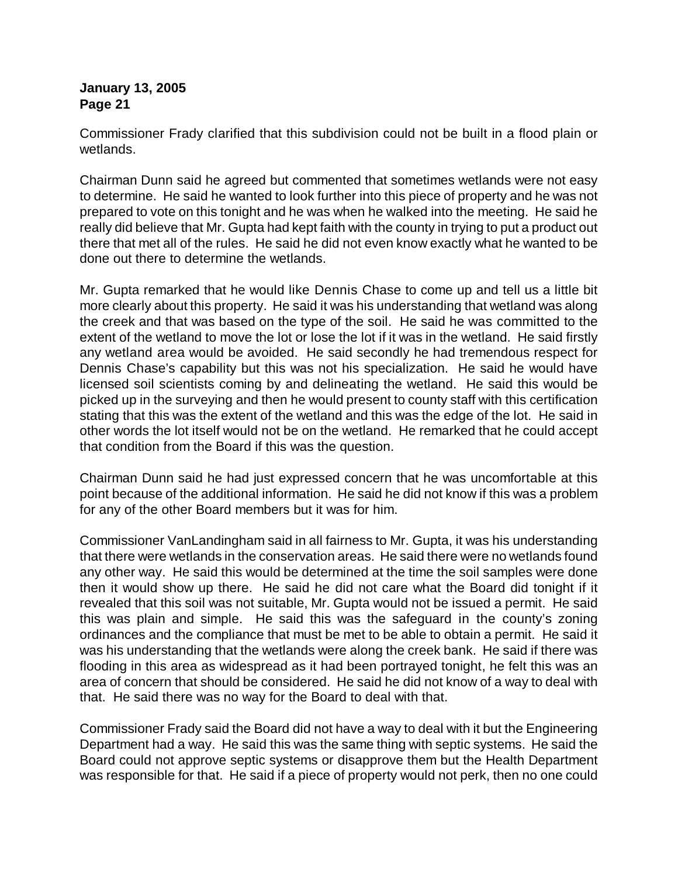Commissioner Frady clarified that this subdivision could not be built in a flood plain or wetlands.

Chairman Dunn said he agreed but commented that sometimes wetlands were not easy to determine. He said he wanted to look further into this piece of property and he was not prepared to vote on this tonight and he was when he walked into the meeting. He said he really did believe that Mr. Gupta had kept faith with the county in trying to put a product out there that met all of the rules. He said he did not even know exactly what he wanted to be done out there to determine the wetlands.

Mr. Gupta remarked that he would like Dennis Chase to come up and tell us a little bit more clearly about this property. He said it was his understanding that wetland was along the creek and that was based on the type of the soil. He said he was committed to the extent of the wetland to move the lot or lose the lot if it was in the wetland. He said firstly any wetland area would be avoided. He said secondly he had tremendous respect for Dennis Chase's capability but this was not his specialization. He said he would have licensed soil scientists coming by and delineating the wetland. He said this would be picked up in the surveying and then he would present to county staff with this certification stating that this was the extent of the wetland and this was the edge of the lot. He said in other words the lot itself would not be on the wetland. He remarked that he could accept that condition from the Board if this was the question.

Chairman Dunn said he had just expressed concern that he was uncomfortable at this point because of the additional information. He said he did not know if this was a problem for any of the other Board members but it was for him.

Commissioner VanLandingham said in all fairness to Mr. Gupta, it was his understanding that there were wetlands in the conservation areas. He said there were no wetlands found any other way. He said this would be determined at the time the soil samples were done then it would show up there. He said he did not care what the Board did tonight if it revealed that this soil was not suitable, Mr. Gupta would not be issued a permit. He said this was plain and simple. He said this was the safeguard in the county's zoning ordinances and the compliance that must be met to be able to obtain a permit. He said it was his understanding that the wetlands were along the creek bank. He said if there was flooding in this area as widespread as it had been portrayed tonight, he felt this was an area of concern that should be considered. He said he did not know of a way to deal with that. He said there was no way for the Board to deal with that.

Commissioner Frady said the Board did not have a way to deal with it but the Engineering Department had a way. He said this was the same thing with septic systems. He said the Board could not approve septic systems or disapprove them but the Health Department was responsible for that. He said if a piece of property would not perk, then no one could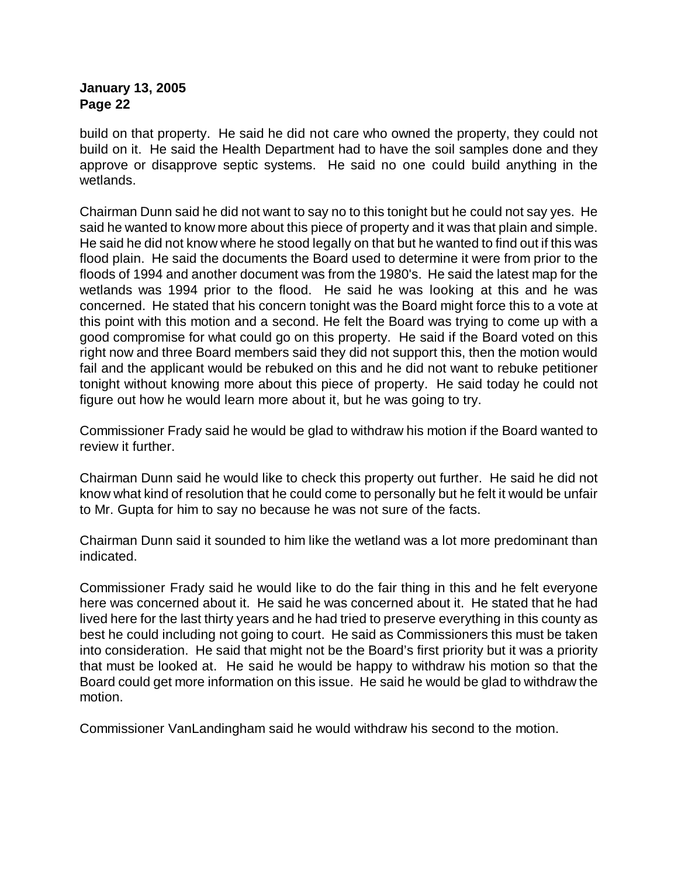build on that property. He said he did not care who owned the property, they could not build on it. He said the Health Department had to have the soil samples done and they approve or disapprove septic systems. He said no one could build anything in the wetlands.

Chairman Dunn said he did not want to say no to this tonight but he could not say yes. He said he wanted to know more about this piece of property and it was that plain and simple. He said he did not know where he stood legally on that but he wanted to find out if this was flood plain. He said the documents the Board used to determine it were from prior to the floods of 1994 and another document was from the 1980's. He said the latest map for the wetlands was 1994 prior to the flood. He said he was looking at this and he was concerned. He stated that his concern tonight was the Board might force this to a vote at this point with this motion and a second. He felt the Board was trying to come up with a good compromise for what could go on this property. He said if the Board voted on this right now and three Board members said they did not support this, then the motion would fail and the applicant would be rebuked on this and he did not want to rebuke petitioner tonight without knowing more about this piece of property. He said today he could not figure out how he would learn more about it, but he was going to try.

Commissioner Frady said he would be glad to withdraw his motion if the Board wanted to review it further.

Chairman Dunn said he would like to check this property out further. He said he did not know what kind of resolution that he could come to personally but he felt it would be unfair to Mr. Gupta for him to say no because he was not sure of the facts.

Chairman Dunn said it sounded to him like the wetland was a lot more predominant than indicated.

Commissioner Frady said he would like to do the fair thing in this and he felt everyone here was concerned about it. He said he was concerned about it. He stated that he had lived here for the last thirty years and he had tried to preserve everything in this county as best he could including not going to court. He said as Commissioners this must be taken into consideration. He said that might not be the Board's first priority but it was a priority that must be looked at. He said he would be happy to withdraw his motion so that the Board could get more information on this issue. He said he would be glad to withdraw the motion.

Commissioner VanLandingham said he would withdraw his second to the motion.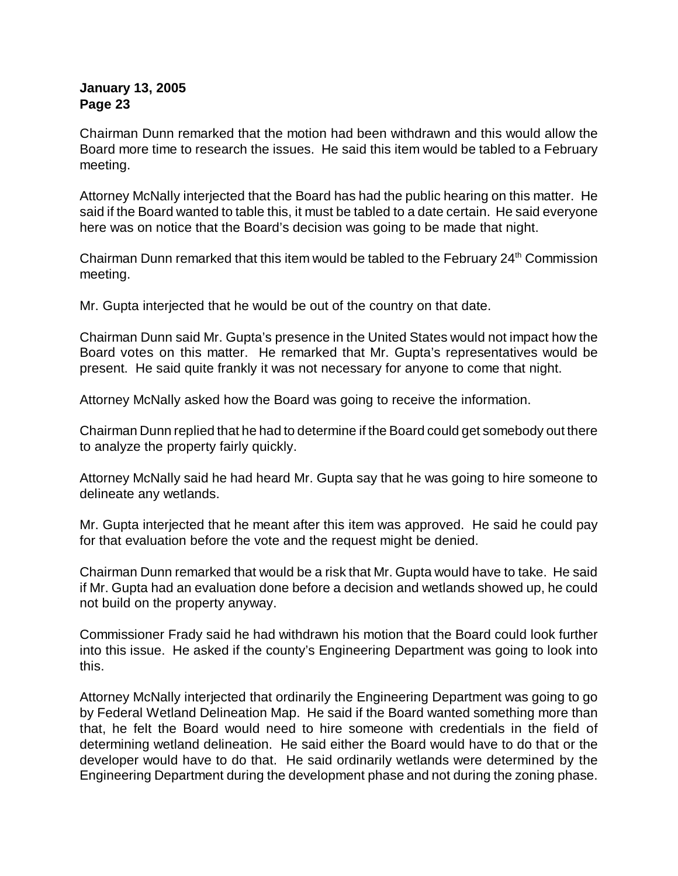Chairman Dunn remarked that the motion had been withdrawn and this would allow the Board more time to research the issues. He said this item would be tabled to a February meeting.

Attorney McNally interjected that the Board has had the public hearing on this matter. He said if the Board wanted to table this, it must be tabled to a date certain. He said everyone here was on notice that the Board's decision was going to be made that night.

Chairman Dunn remarked that this item would be tabled to the February  $24<sup>th</sup>$  Commission meeting.

Mr. Gupta interjected that he would be out of the country on that date.

Chairman Dunn said Mr. Gupta's presence in the United States would not impact how the Board votes on this matter. He remarked that Mr. Gupta's representatives would be present. He said quite frankly it was not necessary for anyone to come that night.

Attorney McNally asked how the Board was going to receive the information.

Chairman Dunn replied that he had to determine if the Board could get somebody out there to analyze the property fairly quickly.

Attorney McNally said he had heard Mr. Gupta say that he was going to hire someone to delineate any wetlands.

Mr. Gupta interjected that he meant after this item was approved. He said he could pay for that evaluation before the vote and the request might be denied.

Chairman Dunn remarked that would be a risk that Mr. Gupta would have to take. He said if Mr. Gupta had an evaluation done before a decision and wetlands showed up, he could not build on the property anyway.

Commissioner Frady said he had withdrawn his motion that the Board could look further into this issue. He asked if the county's Engineering Department was going to look into this.

Attorney McNally interjected that ordinarily the Engineering Department was going to go by Federal Wetland Delineation Map. He said if the Board wanted something more than that, he felt the Board would need to hire someone with credentials in the field of determining wetland delineation. He said either the Board would have to do that or the developer would have to do that. He said ordinarily wetlands were determined by the Engineering Department during the development phase and not during the zoning phase.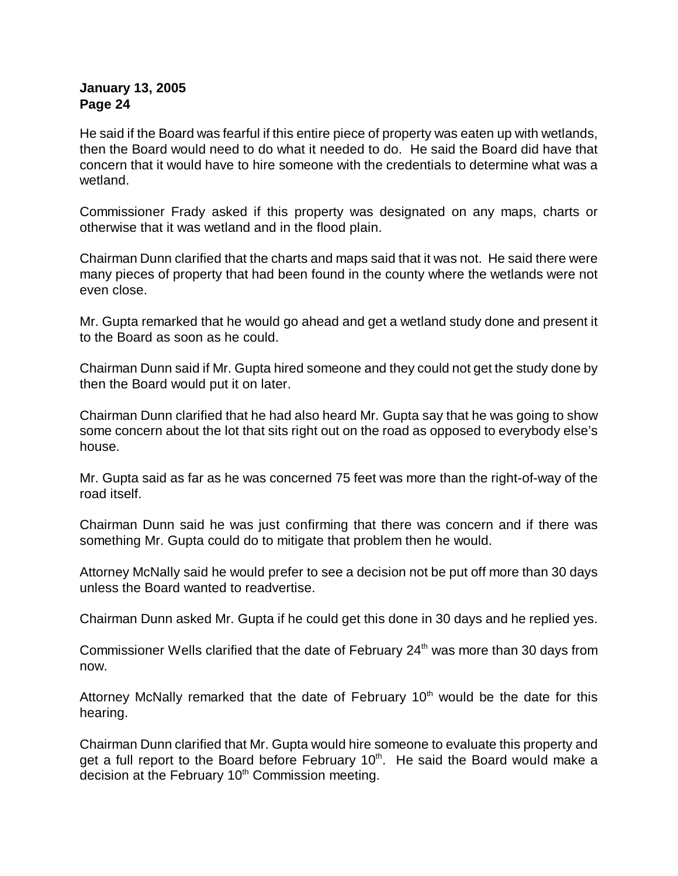He said if the Board was fearful if this entire piece of property was eaten up with wetlands, then the Board would need to do what it needed to do. He said the Board did have that concern that it would have to hire someone with the credentials to determine what was a wetland.

Commissioner Frady asked if this property was designated on any maps, charts or otherwise that it was wetland and in the flood plain.

Chairman Dunn clarified that the charts and maps said that it was not. He said there were many pieces of property that had been found in the county where the wetlands were not even close.

Mr. Gupta remarked that he would go ahead and get a wetland study done and present it to the Board as soon as he could.

Chairman Dunn said if Mr. Gupta hired someone and they could not get the study done by then the Board would put it on later.

Chairman Dunn clarified that he had also heard Mr. Gupta say that he was going to show some concern about the lot that sits right out on the road as opposed to everybody else's house.

Mr. Gupta said as far as he was concerned 75 feet was more than the right-of-way of the road itself.

Chairman Dunn said he was just confirming that there was concern and if there was something Mr. Gupta could do to mitigate that problem then he would.

Attorney McNally said he would prefer to see a decision not be put off more than 30 days unless the Board wanted to readvertise.

Chairman Dunn asked Mr. Gupta if he could get this done in 30 days and he replied yes.

Commissioner Wells clarified that the date of February  $24<sup>th</sup>$  was more than 30 days from now.

Attorney McNally remarked that the date of February  $10<sup>th</sup>$  would be the date for this hearing.

Chairman Dunn clarified that Mr. Gupta would hire someone to evaluate this property and get a full report to the Board before February 10<sup>th</sup>. He said the Board would make a decision at the February  $10<sup>th</sup>$  Commission meeting.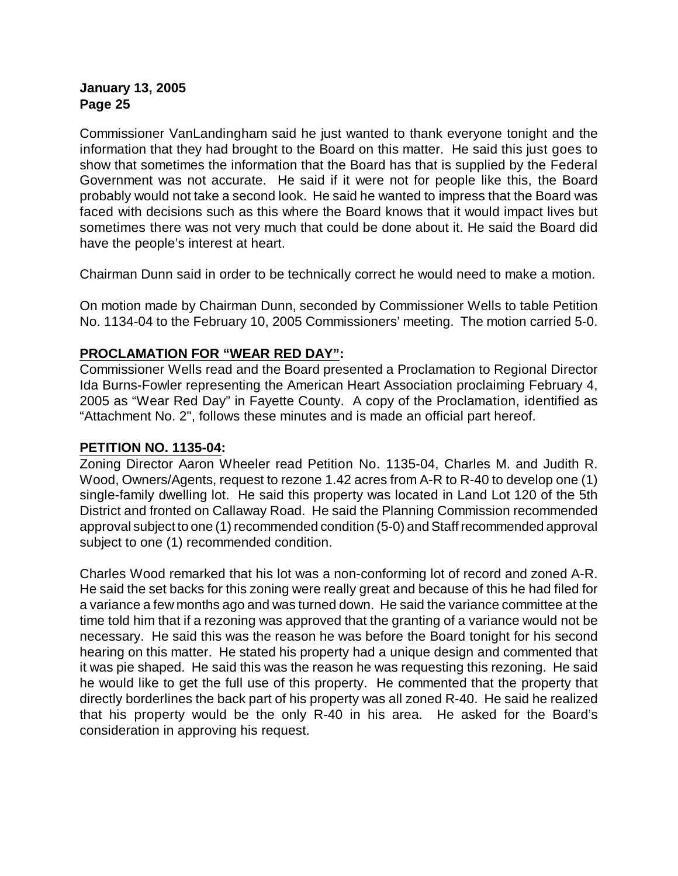Commissioner VanLandingham said he just wanted to thank everyone tonight and the information that they had brought to the Board on this matter. He said this just goes to show that sometimes the information that the Board has that is supplied by the Federal Government was not accurate. He said if it were not for people like this, the Board probably would not take a second look. He said he wanted to impress that the Board was faced with decisions such as this where the Board knows that it would impact lives but sometimes there was not very much that could be done about it. He said the Board did have the people's interest at heart.

Chairman Dunn said in order to be technically correct he would need to make a motion.

On motion made by Chairman Dunn, seconded by Commissioner Wells to table Petition No. 1134-04 to the February 10, 2005 Commissioners' meeting. The motion carried 5-0.

# **PROCLAMATION FOR "WEAR RED DAY":**

Commissioner Wells read and the Board presented a Proclamation to Regional Director Ida Burns-Fowler representing the American Heart Association proclaiming February 4, 2005 as "Wear Red Day" in Fayette County. A copy of the Proclamation, identified as "Attachment No. 2", follows these minutes and is made an official part hereof.

#### **PETITION NO. 1135-04:**

Zoning Director Aaron Wheeler read Petition No. 1135-04, Charles M. and Judith R. Wood, Owners/Agents, request to rezone 1.42 acres from A-R to R-40 to develop one (1) single-family dwelling lot. He said this property was located in Land Lot 120 of the 5th District and fronted on Callaway Road. He said the Planning Commission recommended approval subject to one (1) recommended condition (5-0) and Staff recommended approval subject to one (1) recommended condition.

Charles Wood remarked that his lot was a non-conforming lot of record and zoned A-R. He said the set backs for this zoning were really great and because of this he had filed for a variance a few months ago and was turned down. He said the variance committee at the time told him that if a rezoning was approved that the granting of a variance would not be necessary. He said this was the reason he was before the Board tonight for his second hearing on this matter. He stated his property had a unique design and commented that it was pie shaped. He said this was the reason he was requesting this rezoning. He said he would like to get the full use of this property. He commented that the property that directly borderlines the back part of his property was all zoned R-40. He said he realized that his property would be the only R-40 in his area. He asked for the Board's consideration in approving his request.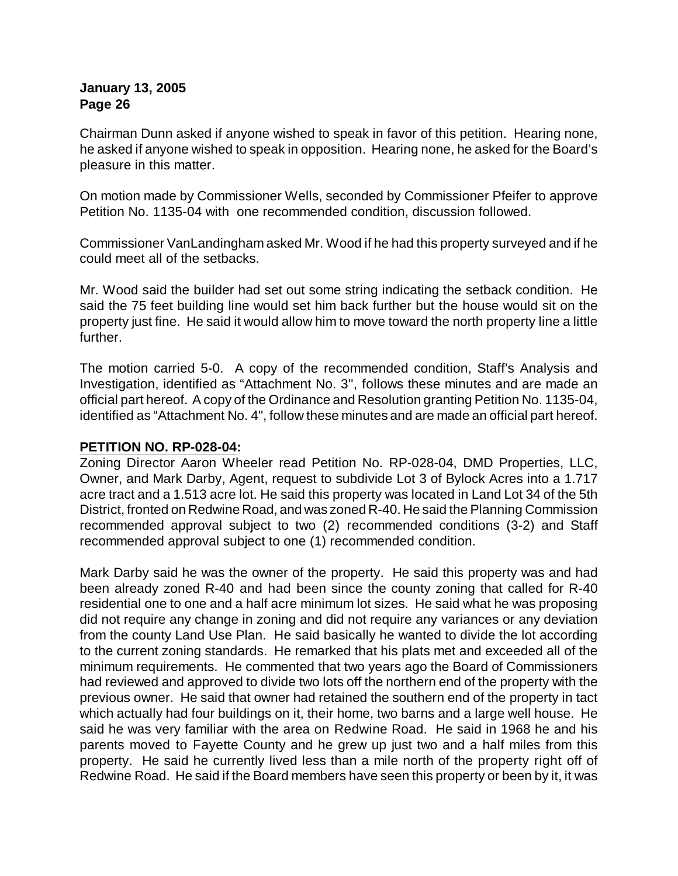Chairman Dunn asked if anyone wished to speak in favor of this petition. Hearing none, he asked if anyone wished to speak in opposition. Hearing none, he asked for the Board's pleasure in this matter.

On motion made by Commissioner Wells, seconded by Commissioner Pfeifer to approve Petition No. 1135-04 with one recommended condition, discussion followed.

Commissioner VanLandingham asked Mr. Wood if he had this property surveyed and if he could meet all of the setbacks.

Mr. Wood said the builder had set out some string indicating the setback condition. He said the 75 feet building line would set him back further but the house would sit on the property just fine. He said it would allow him to move toward the north property line a little further.

The motion carried 5-0. A copy of the recommended condition, Staff's Analysis and Investigation, identified as "Attachment No. 3", follows these minutes and are made an official part hereof. A copy of the Ordinance and Resolution granting Petition No. 1135-04, identified as "Attachment No. 4", follow these minutes and are made an official part hereof.

#### **PETITION NO. RP-028-04:**

Zoning Director Aaron Wheeler read Petition No. RP-028-04, DMD Properties, LLC, Owner, and Mark Darby, Agent, request to subdivide Lot 3 of Bylock Acres into a 1.717 acre tract and a 1.513 acre lot. He said this property was located in Land Lot 34 of the 5th District, fronted on Redwine Road, and was zoned R-40. He said the Planning Commission recommended approval subject to two (2) recommended conditions (3-2) and Staff recommended approval subject to one (1) recommended condition.

Mark Darby said he was the owner of the property. He said this property was and had been already zoned R-40 and had been since the county zoning that called for R-40 residential one to one and a half acre minimum lot sizes. He said what he was proposing did not require any change in zoning and did not require any variances or any deviation from the county Land Use Plan. He said basically he wanted to divide the lot according to the current zoning standards. He remarked that his plats met and exceeded all of the minimum requirements. He commented that two years ago the Board of Commissioners had reviewed and approved to divide two lots off the northern end of the property with the previous owner. He said that owner had retained the southern end of the property in tact which actually had four buildings on it, their home, two barns and a large well house. He said he was very familiar with the area on Redwine Road. He said in 1968 he and his parents moved to Fayette County and he grew up just two and a half miles from this property. He said he currently lived less than a mile north of the property right off of Redwine Road. He said if the Board members have seen this property or been by it, it was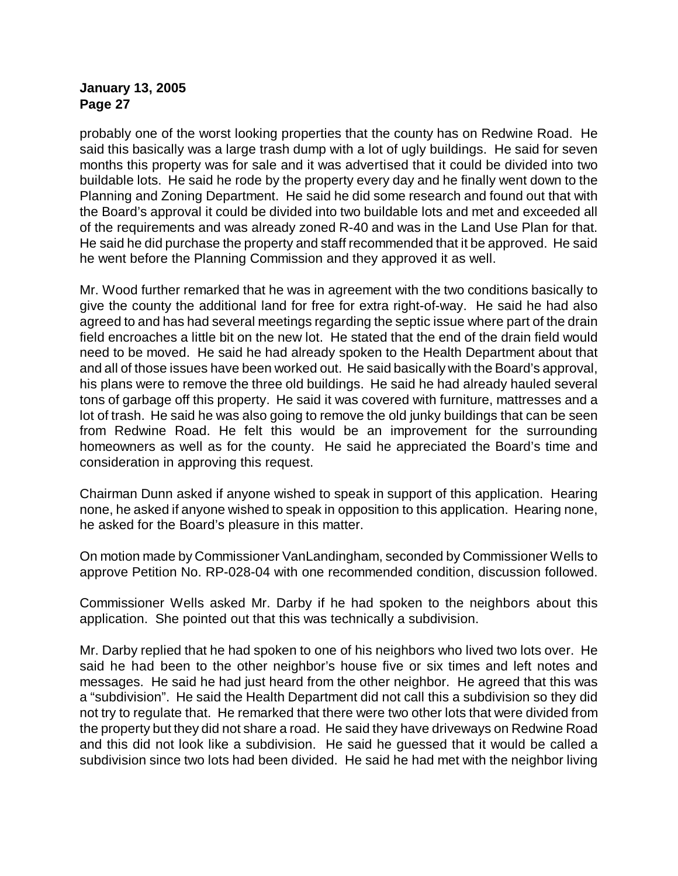probably one of the worst looking properties that the county has on Redwine Road. He said this basically was a large trash dump with a lot of ugly buildings. He said for seven months this property was for sale and it was advertised that it could be divided into two buildable lots. He said he rode by the property every day and he finally went down to the Planning and Zoning Department. He said he did some research and found out that with the Board's approval it could be divided into two buildable lots and met and exceeded all of the requirements and was already zoned R-40 and was in the Land Use Plan for that. He said he did purchase the property and staff recommended that it be approved. He said he went before the Planning Commission and they approved it as well.

Mr. Wood further remarked that he was in agreement with the two conditions basically to give the county the additional land for free for extra right-of-way. He said he had also agreed to and has had several meetings regarding the septic issue where part of the drain field encroaches a little bit on the new lot. He stated that the end of the drain field would need to be moved. He said he had already spoken to the Health Department about that and all of those issues have been worked out. He said basically with the Board's approval, his plans were to remove the three old buildings. He said he had already hauled several tons of garbage off this property. He said it was covered with furniture, mattresses and a lot of trash. He said he was also going to remove the old junky buildings that can be seen from Redwine Road. He felt this would be an improvement for the surrounding homeowners as well as for the county. He said he appreciated the Board's time and consideration in approving this request.

Chairman Dunn asked if anyone wished to speak in support of this application. Hearing none, he asked if anyone wished to speak in opposition to this application. Hearing none, he asked for the Board's pleasure in this matter.

On motion made by Commissioner VanLandingham, seconded by Commissioner Wells to approve Petition No. RP-028-04 with one recommended condition, discussion followed.

Commissioner Wells asked Mr. Darby if he had spoken to the neighbors about this application. She pointed out that this was technically a subdivision.

Mr. Darby replied that he had spoken to one of his neighbors who lived two lots over. He said he had been to the other neighbor's house five or six times and left notes and messages. He said he had just heard from the other neighbor. He agreed that this was a "subdivision". He said the Health Department did not call this a subdivision so they did not try to regulate that. He remarked that there were two other lots that were divided from the property but they did not share a road. He said they have driveways on Redwine Road and this did not look like a subdivision. He said he guessed that it would be called a subdivision since two lots had been divided. He said he had met with the neighbor living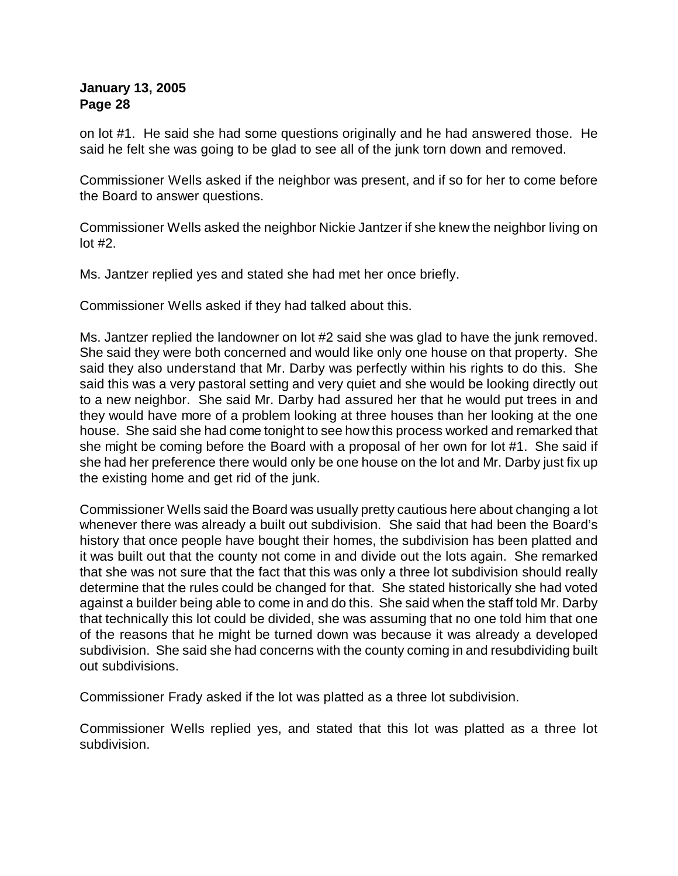on lot #1. He said she had some questions originally and he had answered those. He said he felt she was going to be glad to see all of the junk torn down and removed.

Commissioner Wells asked if the neighbor was present, and if so for her to come before the Board to answer questions.

Commissioner Wells asked the neighbor Nickie Jantzer if she knew the neighbor living on lot #2.

Ms. Jantzer replied yes and stated she had met her once briefly.

Commissioner Wells asked if they had talked about this.

Ms. Jantzer replied the landowner on lot #2 said she was glad to have the junk removed. She said they were both concerned and would like only one house on that property. She said they also understand that Mr. Darby was perfectly within his rights to do this. She said this was a very pastoral setting and very quiet and she would be looking directly out to a new neighbor. She said Mr. Darby had assured her that he would put trees in and they would have more of a problem looking at three houses than her looking at the one house. She said she had come tonight to see how this process worked and remarked that she might be coming before the Board with a proposal of her own for lot #1. She said if she had her preference there would only be one house on the lot and Mr. Darby just fix up the existing home and get rid of the junk.

Commissioner Wells said the Board was usually pretty cautious here about changing a lot whenever there was already a built out subdivision. She said that had been the Board's history that once people have bought their homes, the subdivision has been platted and it was built out that the county not come in and divide out the lots again. She remarked that she was not sure that the fact that this was only a three lot subdivision should really determine that the rules could be changed for that. She stated historically she had voted against a builder being able to come in and do this. She said when the staff told Mr. Darby that technically this lot could be divided, she was assuming that no one told him that one of the reasons that he might be turned down was because it was already a developed subdivision. She said she had concerns with the county coming in and resubdividing built out subdivisions.

Commissioner Frady asked if the lot was platted as a three lot subdivision.

Commissioner Wells replied yes, and stated that this lot was platted as a three lot subdivision.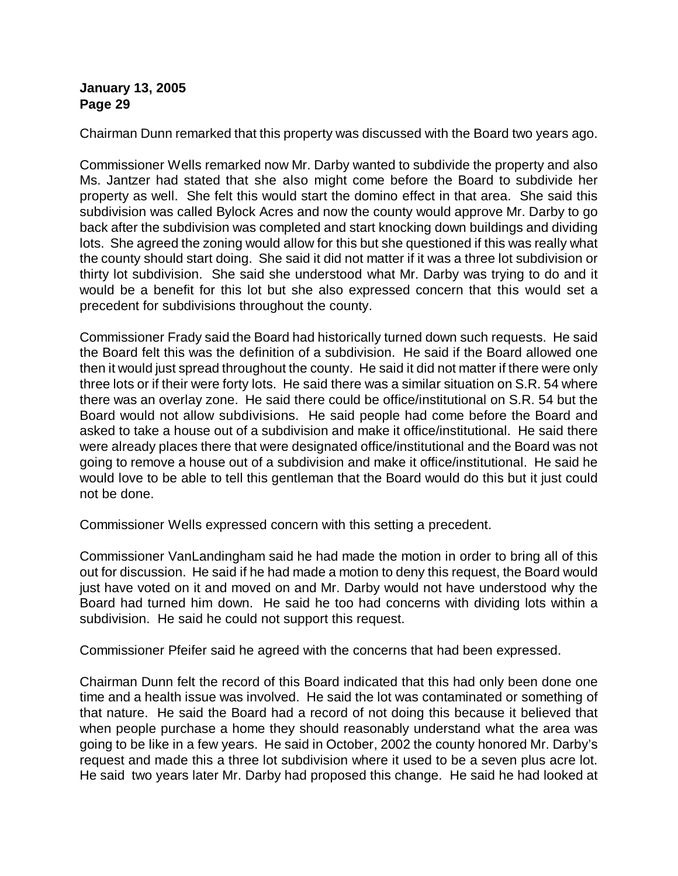Chairman Dunn remarked that this property was discussed with the Board two years ago.

Commissioner Wells remarked now Mr. Darby wanted to subdivide the property and also Ms. Jantzer had stated that she also might come before the Board to subdivide her property as well. She felt this would start the domino effect in that area. She said this subdivision was called Bylock Acres and now the county would approve Mr. Darby to go back after the subdivision was completed and start knocking down buildings and dividing lots. She agreed the zoning would allow for this but she questioned if this was really what the county should start doing. She said it did not matter if it was a three lot subdivision or thirty lot subdivision. She said she understood what Mr. Darby was trying to do and it would be a benefit for this lot but she also expressed concern that this would set a precedent for subdivisions throughout the county.

Commissioner Frady said the Board had historically turned down such requests. He said the Board felt this was the definition of a subdivision. He said if the Board allowed one then it would just spread throughout the county. He said it did not matter if there were only three lots or if their were forty lots. He said there was a similar situation on S.R. 54 where there was an overlay zone. He said there could be office/institutional on S.R. 54 but the Board would not allow subdivisions. He said people had come before the Board and asked to take a house out of a subdivision and make it office/institutional. He said there were already places there that were designated office/institutional and the Board was not going to remove a house out of a subdivision and make it office/institutional. He said he would love to be able to tell this gentleman that the Board would do this but it just could not be done.

Commissioner Wells expressed concern with this setting a precedent.

Commissioner VanLandingham said he had made the motion in order to bring all of this out for discussion. He said if he had made a motion to deny this request, the Board would just have voted on it and moved on and Mr. Darby would not have understood why the Board had turned him down. He said he too had concerns with dividing lots within a subdivision. He said he could not support this request.

Commissioner Pfeifer said he agreed with the concerns that had been expressed.

Chairman Dunn felt the record of this Board indicated that this had only been done one time and a health issue was involved. He said the lot was contaminated or something of that nature. He said the Board had a record of not doing this because it believed that when people purchase a home they should reasonably understand what the area was going to be like in a few years. He said in October, 2002 the county honored Mr. Darby's request and made this a three lot subdivision where it used to be a seven plus acre lot. He said two years later Mr. Darby had proposed this change. He said he had looked at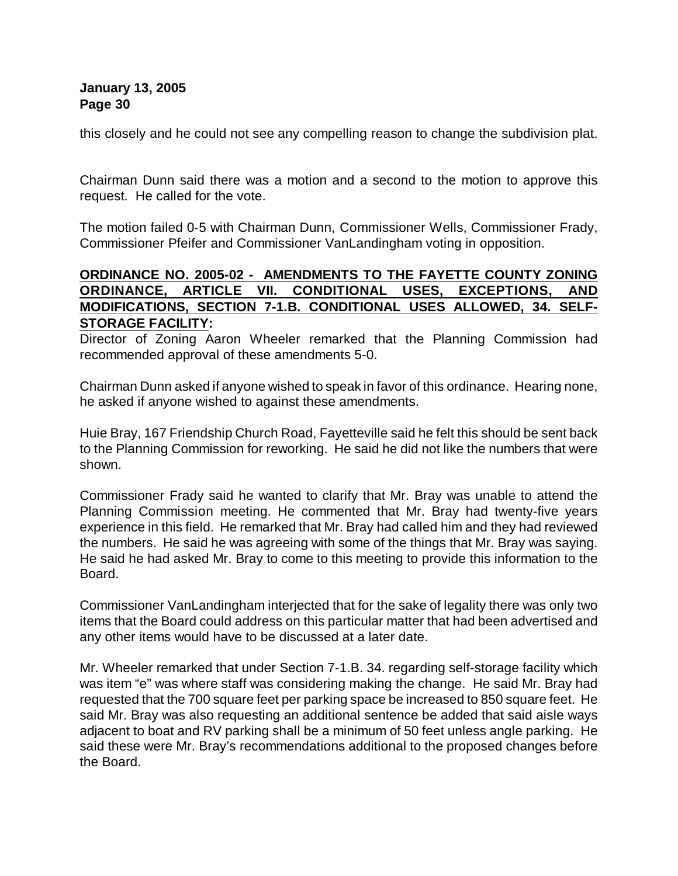this closely and he could not see any compelling reason to change the subdivision plat.

Chairman Dunn said there was a motion and a second to the motion to approve this request. He called for the vote.

The motion failed 0-5 with Chairman Dunn, Commissioner Wells, Commissioner Frady, Commissioner Pfeifer and Commissioner VanLandingham voting in opposition.

# **ORDINANCE NO. 2005-02 - AMENDMENTS TO THE FAYETTE COUNTY ZONING ORDINANCE, ARTICLE VII. CONDITIONAL USES, EXCEPTIONS, AND MODIFICATIONS, SECTION 7-1.B. CONDITIONAL USES ALLOWED, 34. SELF-STORAGE FACILITY:**

Director of Zoning Aaron Wheeler remarked that the Planning Commission had recommended approval of these amendments 5-0.

Chairman Dunn asked if anyone wished to speak in favor of this ordinance. Hearing none, he asked if anyone wished to against these amendments.

Huie Bray, 167 Friendship Church Road, Fayetteville said he felt this should be sent back to the Planning Commission for reworking. He said he did not like the numbers that were shown.

Commissioner Frady said he wanted to clarify that Mr. Bray was unable to attend the Planning Commission meeting. He commented that Mr. Bray had twenty-five years experience in this field. He remarked that Mr. Bray had called him and they had reviewed the numbers. He said he was agreeing with some of the things that Mr. Bray was saying. He said he had asked Mr. Bray to come to this meeting to provide this information to the Board.

Commissioner VanLandingham interjected that for the sake of legality there was only two items that the Board could address on this particular matter that had been advertised and any other items would have to be discussed at a later date.

Mr. Wheeler remarked that under Section 7-1.B. 34. regarding self-storage facility which was item "e" was where staff was considering making the change. He said Mr. Bray had requested that the 700 square feet per parking space be increased to 850 square feet. He said Mr. Bray was also requesting an additional sentence be added that said aisle ways adjacent to boat and RV parking shall be a minimum of 50 feet unless angle parking. He said these were Mr. Bray's recommendations additional to the proposed changes before the Board.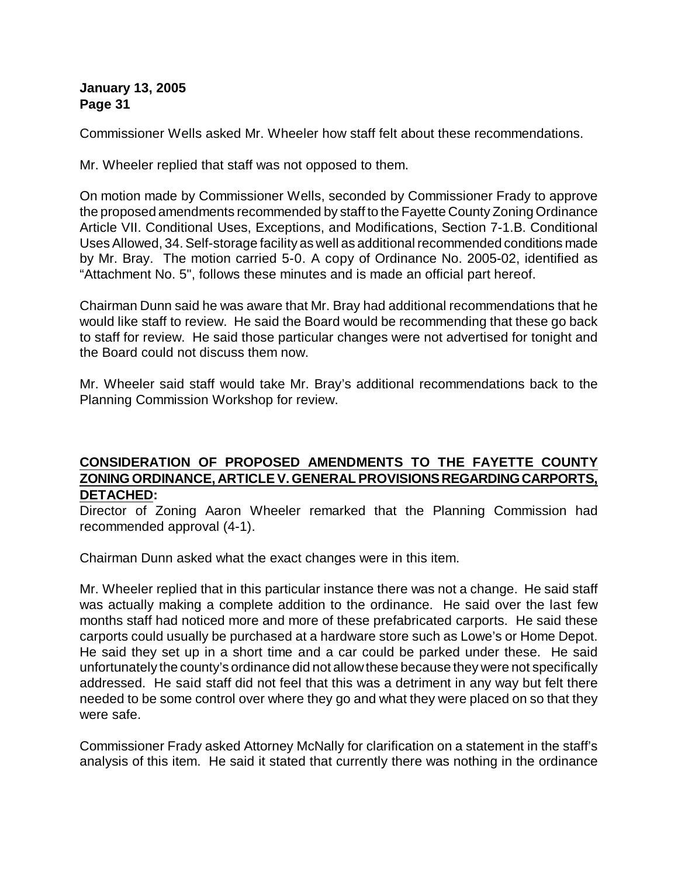Commissioner Wells asked Mr. Wheeler how staff felt about these recommendations.

Mr. Wheeler replied that staff was not opposed to them.

On motion made by Commissioner Wells, seconded by Commissioner Frady to approve the proposed amendments recommended by staff to the Fayette County Zoning Ordinance Article VII. Conditional Uses, Exceptions, and Modifications, Section 7-1.B. Conditional Uses Allowed, 34. Self-storage facility as well as additional recommended conditions made by Mr. Bray. The motion carried 5-0. A copy of Ordinance No. 2005-02, identified as "Attachment No. 5", follows these minutes and is made an official part hereof.

Chairman Dunn said he was aware that Mr. Bray had additional recommendations that he would like staff to review. He said the Board would be recommending that these go back to staff for review. He said those particular changes were not advertised for tonight and the Board could not discuss them now.

Mr. Wheeler said staff would take Mr. Bray's additional recommendations back to the Planning Commission Workshop for review.

### **CONSIDERATION OF PROPOSED AMENDMENTS TO THE FAYETTE COUNTY ZONING ORDINANCE, ARTICLE V. GENERAL PROVISIONS REGARDING CARPORTS, DETACHED:**

Director of Zoning Aaron Wheeler remarked that the Planning Commission had recommended approval (4-1).

Chairman Dunn asked what the exact changes were in this item.

Mr. Wheeler replied that in this particular instance there was not a change. He said staff was actually making a complete addition to the ordinance. He said over the last few months staff had noticed more and more of these prefabricated carports. He said these carports could usually be purchased at a hardware store such as Lowe's or Home Depot. He said they set up in a short time and a car could be parked under these. He said unfortunately the county's ordinance did not allowthese because they were not specifically addressed. He said staff did not feel that this was a detriment in any way but felt there needed to be some control over where they go and what they were placed on so that they were safe.

Commissioner Frady asked Attorney McNally for clarification on a statement in the staff's analysis of this item. He said it stated that currently there was nothing in the ordinance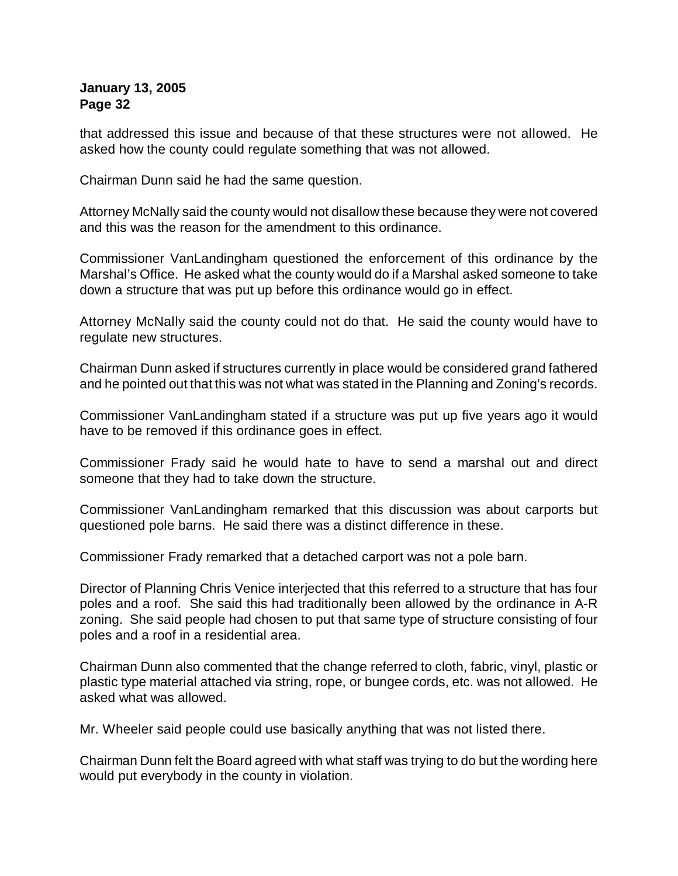that addressed this issue and because of that these structures were not allowed. He asked how the county could regulate something that was not allowed.

Chairman Dunn said he had the same question.

Attorney McNally said the county would not disallow these because they were not covered and this was the reason for the amendment to this ordinance.

Commissioner VanLandingham questioned the enforcement of this ordinance by the Marshal's Office. He asked what the county would do if a Marshal asked someone to take down a structure that was put up before this ordinance would go in effect.

Attorney McNally said the county could not do that. He said the county would have to regulate new structures.

Chairman Dunn asked if structures currently in place would be considered grand fathered and he pointed out that this was not what was stated in the Planning and Zoning's records.

Commissioner VanLandingham stated if a structure was put up five years ago it would have to be removed if this ordinance goes in effect.

Commissioner Frady said he would hate to have to send a marshal out and direct someone that they had to take down the structure.

Commissioner VanLandingham remarked that this discussion was about carports but questioned pole barns. He said there was a distinct difference in these.

Commissioner Frady remarked that a detached carport was not a pole barn.

Director of Planning Chris Venice interjected that this referred to a structure that has four poles and a roof. She said this had traditionally been allowed by the ordinance in A-R zoning. She said people had chosen to put that same type of structure consisting of four poles and a roof in a residential area.

Chairman Dunn also commented that the change referred to cloth, fabric, vinyl, plastic or plastic type material attached via string, rope, or bungee cords, etc. was not allowed. He asked what was allowed.

Mr. Wheeler said people could use basically anything that was not listed there.

Chairman Dunn felt the Board agreed with what staff was trying to do but the wording here would put everybody in the county in violation.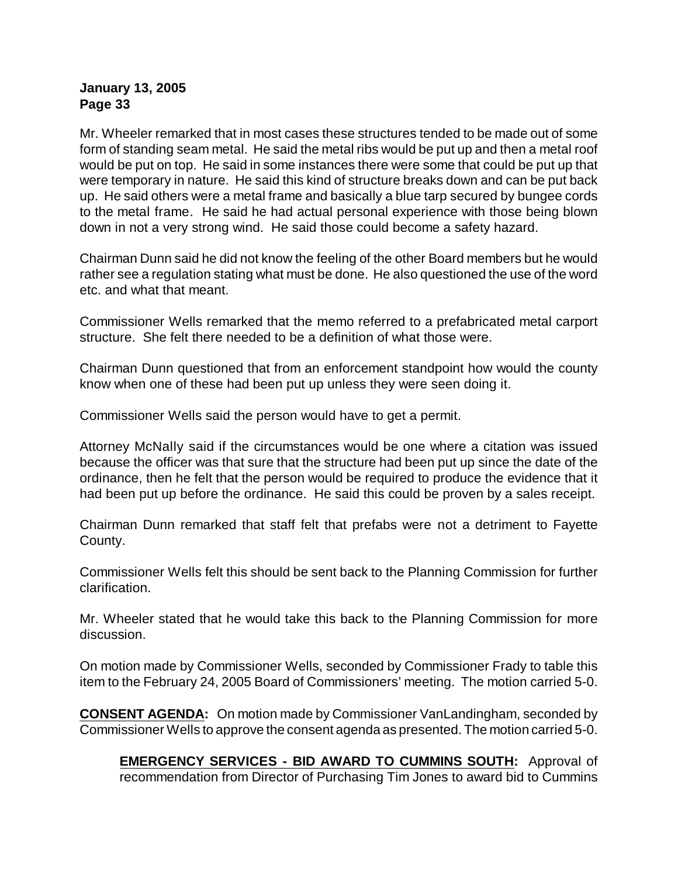Mr. Wheeler remarked that in most cases these structures tended to be made out of some form of standing seam metal. He said the metal ribs would be put up and then a metal roof would be put on top. He said in some instances there were some that could be put up that were temporary in nature. He said this kind of structure breaks down and can be put back up. He said others were a metal frame and basically a blue tarp secured by bungee cords to the metal frame. He said he had actual personal experience with those being blown down in not a very strong wind. He said those could become a safety hazard.

Chairman Dunn said he did not know the feeling of the other Board members but he would rather see a regulation stating what must be done. He also questioned the use of the word etc. and what that meant.

Commissioner Wells remarked that the memo referred to a prefabricated metal carport structure. She felt there needed to be a definition of what those were.

Chairman Dunn questioned that from an enforcement standpoint how would the county know when one of these had been put up unless they were seen doing it.

Commissioner Wells said the person would have to get a permit.

Attorney McNally said if the circumstances would be one where a citation was issued because the officer was that sure that the structure had been put up since the date of the ordinance, then he felt that the person would be required to produce the evidence that it had been put up before the ordinance. He said this could be proven by a sales receipt.

Chairman Dunn remarked that staff felt that prefabs were not a detriment to Fayette County.

Commissioner Wells felt this should be sent back to the Planning Commission for further clarification.

Mr. Wheeler stated that he would take this back to the Planning Commission for more discussion.

On motion made by Commissioner Wells, seconded by Commissioner Frady to table this item to the February 24, 2005 Board of Commissioners' meeting. The motion carried 5-0.

**CONSENT AGENDA:** On motion made by Commissioner VanLandingham, seconded by Commissioner Wells to approve the consent agenda as presented. The motion carried 5-0.

**EMERGENCY SERVICES - BID AWARD TO CUMMINS SOUTH:** Approval of recommendation from Director of Purchasing Tim Jones to award bid to Cummins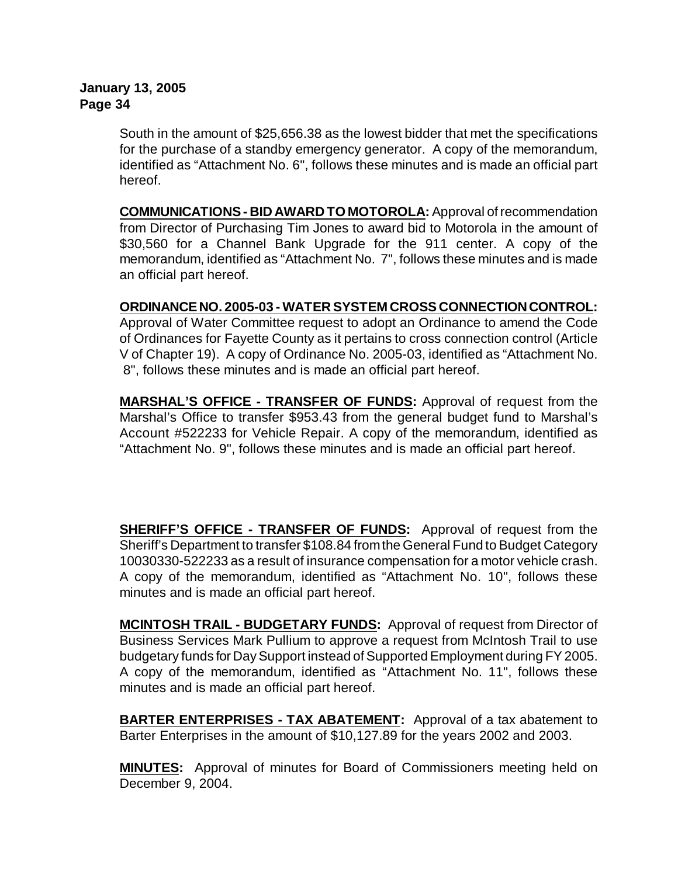South in the amount of \$25,656.38 as the lowest bidder that met the specifications for the purchase of a standby emergency generator. A copy of the memorandum, identified as "Attachment No. 6", follows these minutes and is made an official part hereof.

**COMMUNICATIONS - BID AWARD TO MOTOROLA:** Approval of recommendation from Director of Purchasing Tim Jones to award bid to Motorola in the amount of \$30,560 for a Channel Bank Upgrade for the 911 center. A copy of the memorandum, identified as "Attachment No. 7", follows these minutes and is made an official part hereof.

**ORDINANCE NO. 2005-03 - WATER SYSTEM CROSS CONNECTION CONTROL:** Approval of Water Committee request to adopt an Ordinance to amend the Code

of Ordinances for Fayette County as it pertains to cross connection control (Article V of Chapter 19). A copy of Ordinance No. 2005-03, identified as "Attachment No. 8", follows these minutes and is made an official part hereof.

**MARSHAL'S OFFICE - TRANSFER OF FUNDS:** Approval of request from the Marshal's Office to transfer \$953.43 from the general budget fund to Marshal's Account #522233 for Vehicle Repair. A copy of the memorandum, identified as "Attachment No. 9", follows these minutes and is made an official part hereof.

**SHERIFF'S OFFICE - TRANSFER OF FUNDS:** Approval of request from the Sheriff's Department to transfer \$108.84 fromthe General Fund to Budget Category 10030330-522233 as a result of insurance compensation for a motor vehicle crash. A copy of the memorandum, identified as "Attachment No. 10", follows these minutes and is made an official part hereof.

**MCINTOSH TRAIL - BUDGETARY FUNDS:** Approval of request from Director of Business Services Mark Pullium to approve a request from McIntosh Trail to use budgetary funds for Day Support instead of Supported Employment during FY 2005. A copy of the memorandum, identified as "Attachment No. 11", follows these minutes and is made an official part hereof.

**BARTER ENTERPRISES - TAX ABATEMENT:** Approval of a tax abatement to Barter Enterprises in the amount of \$10,127.89 for the years 2002 and 2003.

**MINUTES:** Approval of minutes for Board of Commissioners meeting held on December 9, 2004.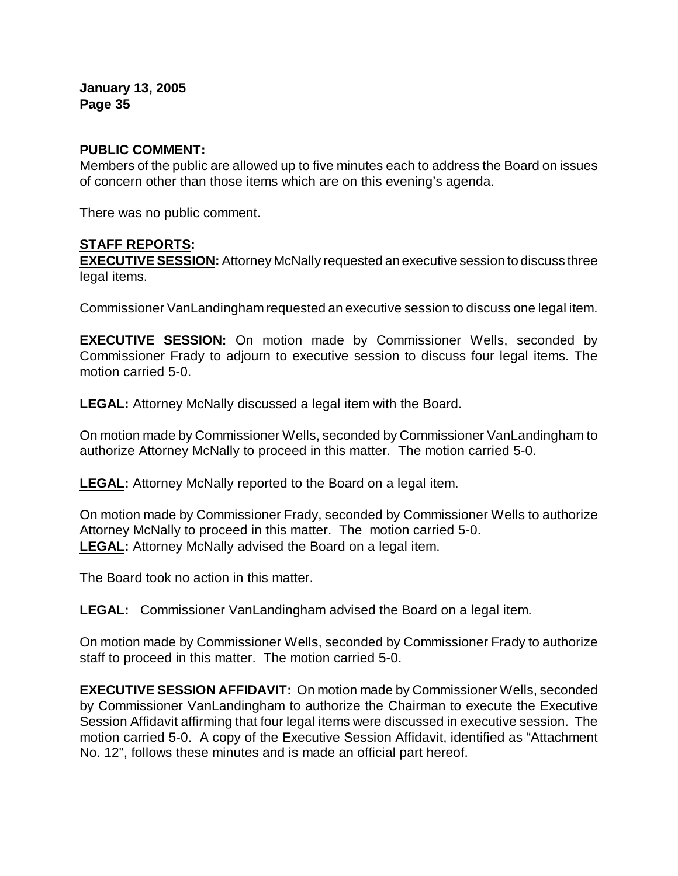#### **PUBLIC COMMENT:**

Members of the public are allowed up to five minutes each to address the Board on issues of concern other than those items which are on this evening's agenda.

There was no public comment.

#### **STAFF REPORTS:**

**EXECUTIVE SESSION:** Attorney McNally requested an executive session to discuss three legal items.

Commissioner VanLandingham requested an executive session to discuss one legal item.

**EXECUTIVE SESSION:** On motion made by Commissioner Wells, seconded by Commissioner Frady to adjourn to executive session to discuss four legal items. The motion carried 5-0.

**LEGAL:** Attorney McNally discussed a legal item with the Board.

On motion made by Commissioner Wells, seconded by Commissioner VanLandingham to authorize Attorney McNally to proceed in this matter. The motion carried 5-0.

**LEGAL:** Attorney McNally reported to the Board on a legal item.

On motion made by Commissioner Frady, seconded by Commissioner Wells to authorize Attorney McNally to proceed in this matter. The motion carried 5-0. **LEGAL:** Attorney McNally advised the Board on a legal item.

The Board took no action in this matter.

**LEGAL:** Commissioner VanLandingham advised the Board on a legal item.

On motion made by Commissioner Wells, seconded by Commissioner Frady to authorize staff to proceed in this matter. The motion carried 5-0.

**EXECUTIVE SESSION AFFIDAVIT:** On motion made by Commissioner Wells, seconded by Commissioner VanLandingham to authorize the Chairman to execute the Executive Session Affidavit affirming that four legal items were discussed in executive session. The motion carried 5-0. A copy of the Executive Session Affidavit, identified as "Attachment No. 12", follows these minutes and is made an official part hereof.